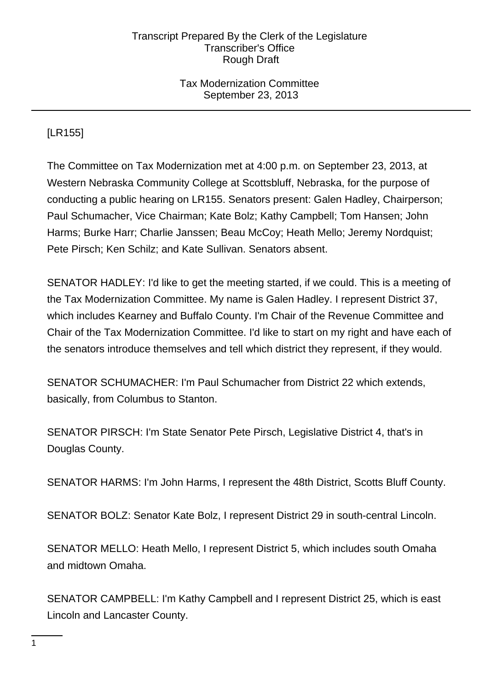# Tax Modernization Committee September 23, 2013

# [LR155]

The Committee on Tax Modernization met at 4:00 p.m. on September 23, 2013, at Western Nebraska Community College at Scottsbluff, Nebraska, for the purpose of conducting a public hearing on LR155. Senators present: Galen Hadley, Chairperson; Paul Schumacher, Vice Chairman; Kate Bolz; Kathy Campbell; Tom Hansen; John Harms; Burke Harr; Charlie Janssen; Beau McCoy; Heath Mello; Jeremy Nordquist; Pete Pirsch; Ken Schilz; and Kate Sullivan. Senators absent.

SENATOR HADLEY: I'd like to get the meeting started, if we could. This is a meeting of the Tax Modernization Committee. My name is Galen Hadley. I represent District 37, which includes Kearney and Buffalo County. I'm Chair of the Revenue Committee and Chair of the Tax Modernization Committee. I'd like to start on my right and have each of the senators introduce themselves and tell which district they represent, if they would.

SENATOR SCHUMACHER: I'm Paul Schumacher from District 22 which extends, basically, from Columbus to Stanton.

SENATOR PIRSCH: I'm State Senator Pete Pirsch, Legislative District 4, that's in Douglas County.

SENATOR HARMS: I'm John Harms, I represent the 48th District, Scotts Bluff County.

SENATOR BOLZ: Senator Kate Bolz, I represent District 29 in south-central Lincoln.

SENATOR MELLO: Heath Mello, I represent District 5, which includes south Omaha and midtown Omaha.

SENATOR CAMPBELL: I'm Kathy Campbell and I represent District 25, which is east Lincoln and Lancaster County.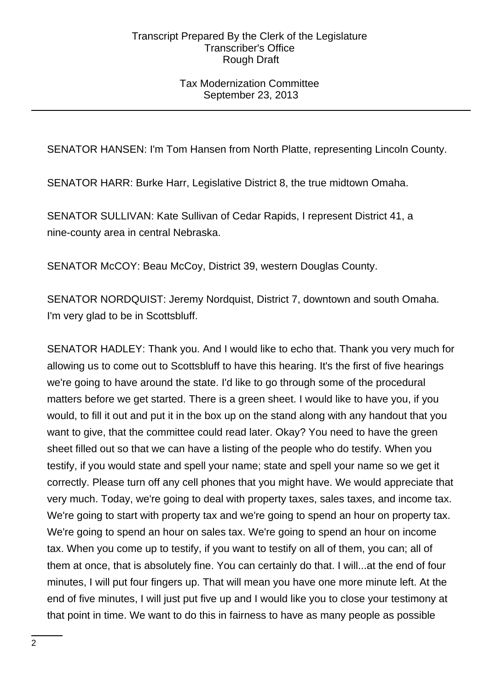# Tax Modernization Committee September 23, 2013

SENATOR HANSEN: I'm Tom Hansen from North Platte, representing Lincoln County.

SENATOR HARR: Burke Harr, Legislative District 8, the true midtown Omaha.

SENATOR SULLIVAN: Kate Sullivan of Cedar Rapids, I represent District 41, a nine-county area in central Nebraska.

SENATOR McCOY: Beau McCoy, District 39, western Douglas County.

SENATOR NORDQUIST: Jeremy Nordquist, District 7, downtown and south Omaha. I'm very glad to be in Scottsbluff.

SENATOR HADLEY: Thank you. And I would like to echo that. Thank you very much for allowing us to come out to Scottsbluff to have this hearing. It's the first of five hearings we're going to have around the state. I'd like to go through some of the procedural matters before we get started. There is a green sheet. I would like to have you, if you would, to fill it out and put it in the box up on the stand along with any handout that you want to give, that the committee could read later. Okay? You need to have the green sheet filled out so that we can have a listing of the people who do testify. When you testify, if you would state and spell your name; state and spell your name so we get it correctly. Please turn off any cell phones that you might have. We would appreciate that very much. Today, we're going to deal with property taxes, sales taxes, and income tax. We're going to start with property tax and we're going to spend an hour on property tax. We're going to spend an hour on sales tax. We're going to spend an hour on income tax. When you come up to testify, if you want to testify on all of them, you can; all of them at once, that is absolutely fine. You can certainly do that. I will...at the end of four minutes, I will put four fingers up. That will mean you have one more minute left. At the end of five minutes, I will just put five up and I would like you to close your testimony at that point in time. We want to do this in fairness to have as many people as possible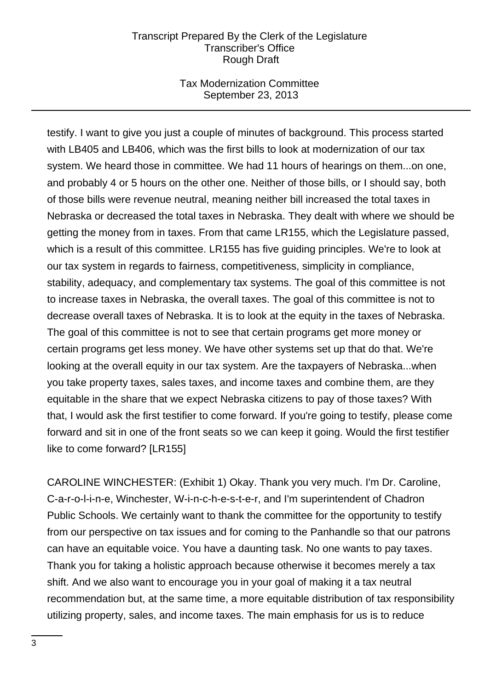# Tax Modernization Committee September 23, 2013

testify. I want to give you just a couple of minutes of background. This process started with LB405 and LB406, which was the first bills to look at modernization of our tax system. We heard those in committee. We had 11 hours of hearings on them...on one, and probably 4 or 5 hours on the other one. Neither of those bills, or I should say, both of those bills were revenue neutral, meaning neither bill increased the total taxes in Nebraska or decreased the total taxes in Nebraska. They dealt with where we should be getting the money from in taxes. From that came LR155, which the Legislature passed, which is a result of this committee. LR155 has five guiding principles. We're to look at our tax system in regards to fairness, competitiveness, simplicity in compliance, stability, adequacy, and complementary tax systems. The goal of this committee is not to increase taxes in Nebraska, the overall taxes. The goal of this committee is not to decrease overall taxes of Nebraska. It is to look at the equity in the taxes of Nebraska. The goal of this committee is not to see that certain programs get more money or certain programs get less money. We have other systems set up that do that. We're looking at the overall equity in our tax system. Are the taxpayers of Nebraska...when you take property taxes, sales taxes, and income taxes and combine them, are they equitable in the share that we expect Nebraska citizens to pay of those taxes? With that, I would ask the first testifier to come forward. If you're going to testify, please come forward and sit in one of the front seats so we can keep it going. Would the first testifier like to come forward? [LR155]

CAROLINE WINCHESTER: (Exhibit 1) Okay. Thank you very much. I'm Dr. Caroline, C-a-r-o-l-i-n-e, Winchester, W-i-n-c-h-e-s-t-e-r, and I'm superintendent of Chadron Public Schools. We certainly want to thank the committee for the opportunity to testify from our perspective on tax issues and for coming to the Panhandle so that our patrons can have an equitable voice. You have a daunting task. No one wants to pay taxes. Thank you for taking a holistic approach because otherwise it becomes merely a tax shift. And we also want to encourage you in your goal of making it a tax neutral recommendation but, at the same time, a more equitable distribution of tax responsibility utilizing property, sales, and income taxes. The main emphasis for us is to reduce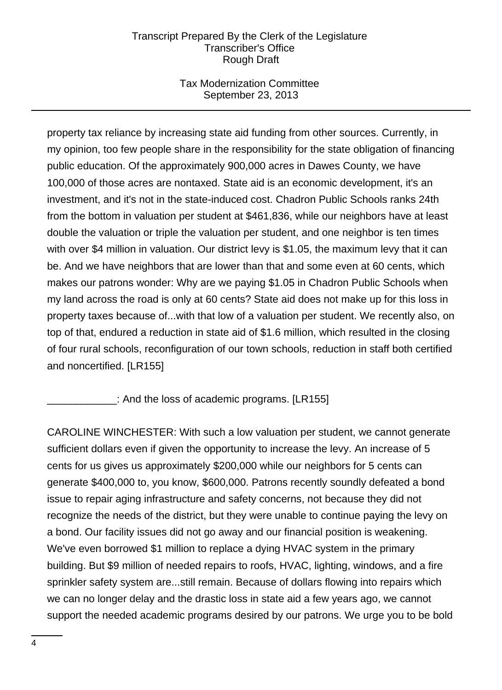# Tax Modernization Committee September 23, 2013

property tax reliance by increasing state aid funding from other sources. Currently, in my opinion, too few people share in the responsibility for the state obligation of financing public education. Of the approximately 900,000 acres in Dawes County, we have 100,000 of those acres are nontaxed. State aid is an economic development, it's an investment, and it's not in the state-induced cost. Chadron Public Schools ranks 24th from the bottom in valuation per student at \$461,836, while our neighbors have at least double the valuation or triple the valuation per student, and one neighbor is ten times with over \$4 million in valuation. Our district levy is \$1.05, the maximum levy that it can be. And we have neighbors that are lower than that and some even at 60 cents, which makes our patrons wonder: Why are we paying \$1.05 in Chadron Public Schools when my land across the road is only at 60 cents? State aid does not make up for this loss in property taxes because of...with that low of a valuation per student. We recently also, on top of that, endured a reduction in state aid of \$1.6 million, which resulted in the closing of four rural schools, reconfiguration of our town schools, reduction in staff both certified and noncertified. [LR155]

\_\_\_\_\_\_\_\_\_\_\_\_: And the loss of academic programs. [LR155]

CAROLINE WINCHESTER: With such a low valuation per student, we cannot generate sufficient dollars even if given the opportunity to increase the levy. An increase of 5 cents for us gives us approximately \$200,000 while our neighbors for 5 cents can generate \$400,000 to, you know, \$600,000. Patrons recently soundly defeated a bond issue to repair aging infrastructure and safety concerns, not because they did not recognize the needs of the district, but they were unable to continue paying the levy on a bond. Our facility issues did not go away and our financial position is weakening. We've even borrowed \$1 million to replace a dying HVAC system in the primary building. But \$9 million of needed repairs to roofs, HVAC, lighting, windows, and a fire sprinkler safety system are...still remain. Because of dollars flowing into repairs which we can no longer delay and the drastic loss in state aid a few years ago, we cannot support the needed academic programs desired by our patrons. We urge you to be bold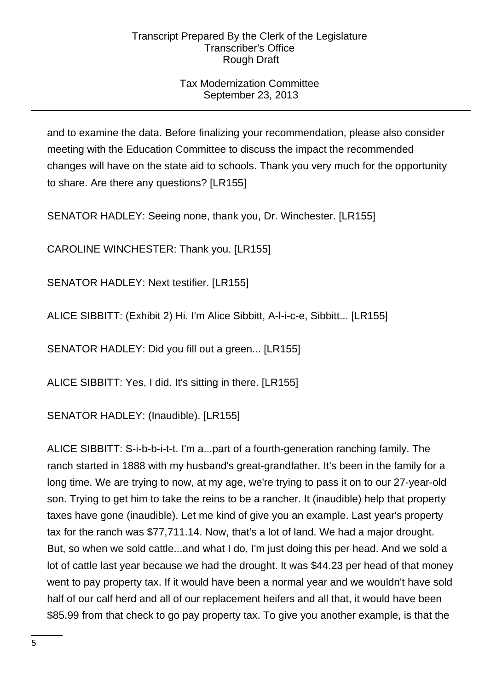# Tax Modernization Committee September 23, 2013

and to examine the data. Before finalizing your recommendation, please also consider meeting with the Education Committee to discuss the impact the recommended changes will have on the state aid to schools. Thank you very much for the opportunity to share. Are there any questions? [LR155]

SENATOR HADLEY: Seeing none, thank you, Dr. Winchester. [LR155]

CAROLINE WINCHESTER: Thank you. [LR155]

SENATOR HADLEY: Next testifier. [LR155]

ALICE SIBBITT: (Exhibit 2) Hi. I'm Alice Sibbitt, A-l-i-c-e, Sibbitt... [LR155]

SENATOR HADLEY: Did you fill out a green... [LR155]

ALICE SIBBITT: Yes, I did. It's sitting in there. [LR155]

SENATOR HADLEY: (Inaudible). [LR155]

ALICE SIBBITT: S-i-b-b-i-t-t. I'm a...part of a fourth-generation ranching family. The ranch started in 1888 with my husband's great-grandfather. It's been in the family for a long time. We are trying to now, at my age, we're trying to pass it on to our 27-year-old son. Trying to get him to take the reins to be a rancher. It (inaudible) help that property taxes have gone (inaudible). Let me kind of give you an example. Last year's property tax for the ranch was \$77,711.14. Now, that's a lot of land. We had a major drought. But, so when we sold cattle...and what I do, I'm just doing this per head. And we sold a lot of cattle last year because we had the drought. It was \$44.23 per head of that money went to pay property tax. If it would have been a normal year and we wouldn't have sold half of our calf herd and all of our replacement heifers and all that, it would have been \$85.99 from that check to go pay property tax. To give you another example, is that the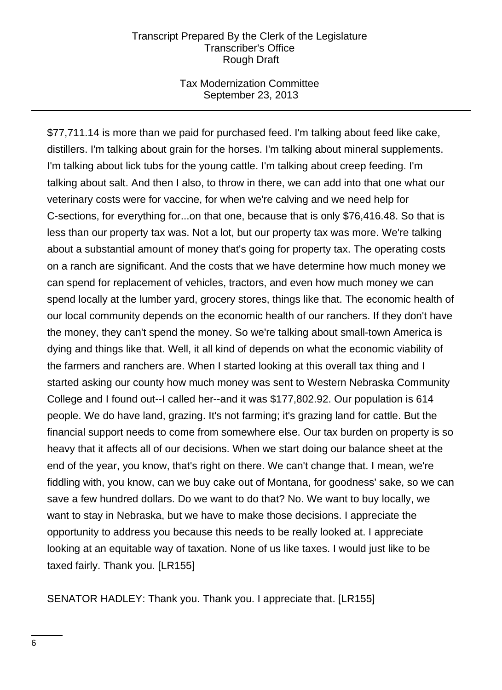### Tax Modernization Committee September 23, 2013

\$77,711.14 is more than we paid for purchased feed. I'm talking about feed like cake, distillers. I'm talking about grain for the horses. I'm talking about mineral supplements. I'm talking about lick tubs for the young cattle. I'm talking about creep feeding. I'm talking about salt. And then I also, to throw in there, we can add into that one what our veterinary costs were for vaccine, for when we're calving and we need help for C-sections, for everything for...on that one, because that is only \$76,416.48. So that is less than our property tax was. Not a lot, but our property tax was more. We're talking about a substantial amount of money that's going for property tax. The operating costs on a ranch are significant. And the costs that we have determine how much money we can spend for replacement of vehicles, tractors, and even how much money we can spend locally at the lumber yard, grocery stores, things like that. The economic health of our local community depends on the economic health of our ranchers. If they don't have the money, they can't spend the money. So we're talking about small-town America is dying and things like that. Well, it all kind of depends on what the economic viability of the farmers and ranchers are. When I started looking at this overall tax thing and I started asking our county how much money was sent to Western Nebraska Community College and I found out--I called her--and it was \$177,802.92. Our population is 614 people. We do have land, grazing. It's not farming; it's grazing land for cattle. But the financial support needs to come from somewhere else. Our tax burden on property is so heavy that it affects all of our decisions. When we start doing our balance sheet at the end of the year, you know, that's right on there. We can't change that. I mean, we're fiddling with, you know, can we buy cake out of Montana, for goodness' sake, so we can save a few hundred dollars. Do we want to do that? No. We want to buy locally, we want to stay in Nebraska, but we have to make those decisions. I appreciate the opportunity to address you because this needs to be really looked at. I appreciate looking at an equitable way of taxation. None of us like taxes. I would just like to be taxed fairly. Thank you. [LR155]

SENATOR HADLEY: Thank you. Thank you. I appreciate that. [LR155]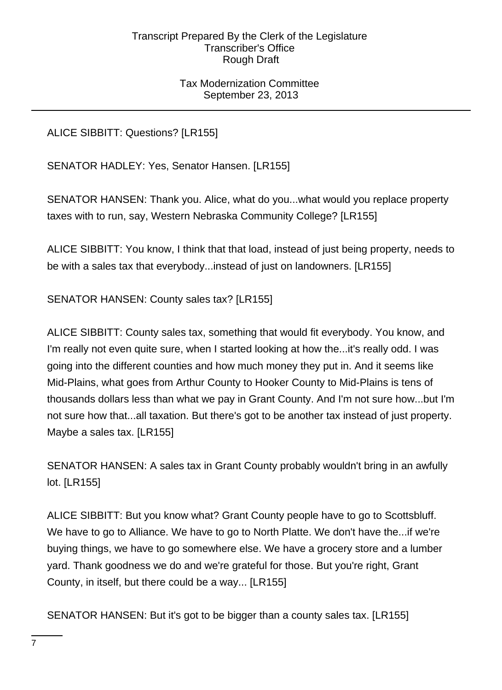# Tax Modernization Committee September 23, 2013

ALICE SIBBITT: Questions? [LR155]

SENATOR HADLEY: Yes, Senator Hansen. [LR155]

SENATOR HANSEN: Thank you. Alice, what do you...what would you replace property taxes with to run, say, Western Nebraska Community College? [LR155]

ALICE SIBBITT: You know, I think that that load, instead of just being property, needs to be with a sales tax that everybody...instead of just on landowners. [LR155]

SENATOR HANSEN: County sales tax? [LR155]

ALICE SIBBITT: County sales tax, something that would fit everybody. You know, and I'm really not even quite sure, when I started looking at how the...it's really odd. I was going into the different counties and how much money they put in. And it seems like Mid-Plains, what goes from Arthur County to Hooker County to Mid-Plains is tens of thousands dollars less than what we pay in Grant County. And I'm not sure how...but I'm not sure how that...all taxation. But there's got to be another tax instead of just property. Maybe a sales tax. [LR155]

SENATOR HANSEN: A sales tax in Grant County probably wouldn't bring in an awfully lot. [LR155]

ALICE SIBBITT: But you know what? Grant County people have to go to Scottsbluff. We have to go to Alliance. We have to go to North Platte. We don't have the...if we're buying things, we have to go somewhere else. We have a grocery store and a lumber yard. Thank goodness we do and we're grateful for those. But you're right, Grant County, in itself, but there could be a way... [LR155]

SENATOR HANSEN: But it's got to be bigger than a county sales tax. [LR155]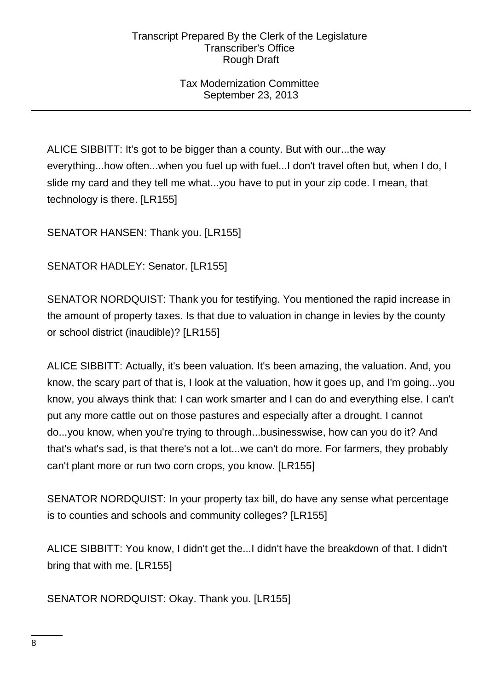Tax Modernization Committee September 23, 2013

ALICE SIBBITT: It's got to be bigger than a county. But with our...the way everything...how often...when you fuel up with fuel...I don't travel often but, when I do, I slide my card and they tell me what...you have to put in your zip code. I mean, that technology is there. [LR155]

SENATOR HANSEN: Thank you. [LR155]

SENATOR HADLEY: Senator. [LR155]

SENATOR NORDQUIST: Thank you for testifying. You mentioned the rapid increase in the amount of property taxes. Is that due to valuation in change in levies by the county or school district (inaudible)? [LR155]

ALICE SIBBITT: Actually, it's been valuation. It's been amazing, the valuation. And, you know, the scary part of that is, I look at the valuation, how it goes up, and I'm going...you know, you always think that: I can work smarter and I can do and everything else. I can't put any more cattle out on those pastures and especially after a drought. I cannot do...you know, when you're trying to through...businesswise, how can you do it? And that's what's sad, is that there's not a lot...we can't do more. For farmers, they probably can't plant more or run two corn crops, you know. [LR155]

SENATOR NORDQUIST: In your property tax bill, do have any sense what percentage is to counties and schools and community colleges? [LR155]

ALICE SIBBITT: You know, I didn't get the...I didn't have the breakdown of that. I didn't bring that with me. [LR155]

SENATOR NORDQUIST: Okay. Thank you. [LR155]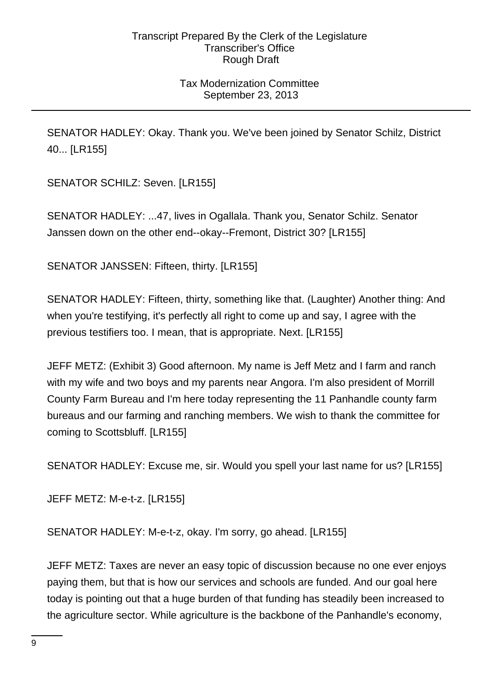# Tax Modernization Committee September 23, 2013

SENATOR HADLEY: Okay. Thank you. We've been joined by Senator Schilz, District 40... [LR155]

SENATOR SCHILZ: Seven. [LR155]

SENATOR HADLEY: ...47, lives in Ogallala. Thank you, Senator Schilz. Senator Janssen down on the other end--okay--Fremont, District 30? [LR155]

SENATOR JANSSEN: Fifteen, thirty. [LR155]

SENATOR HADLEY: Fifteen, thirty, something like that. (Laughter) Another thing: And when you're testifying, it's perfectly all right to come up and say, I agree with the previous testifiers too. I mean, that is appropriate. Next. [LR155]

JEFF METZ: (Exhibit 3) Good afternoon. My name is Jeff Metz and I farm and ranch with my wife and two boys and my parents near Angora. I'm also president of Morrill County Farm Bureau and I'm here today representing the 11 Panhandle county farm bureaus and our farming and ranching members. We wish to thank the committee for coming to Scottsbluff. [LR155]

SENATOR HADLEY: Excuse me, sir. Would you spell your last name for us? [LR155]

JEFF METZ: M-e-t-z. [LR155]

SENATOR HADLEY: M-e-t-z, okay. I'm sorry, go ahead. [LR155]

JEFF METZ: Taxes are never an easy topic of discussion because no one ever enjoys paying them, but that is how our services and schools are funded. And our goal here today is pointing out that a huge burden of that funding has steadily been increased to the agriculture sector. While agriculture is the backbone of the Panhandle's economy,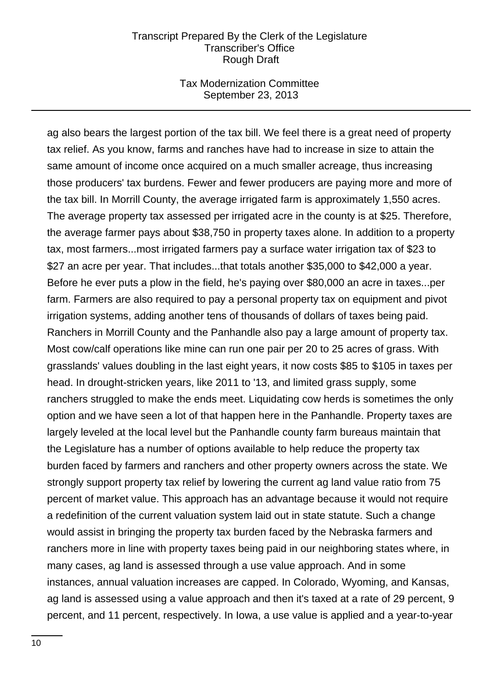#### Tax Modernization Committee September 23, 2013

ag also bears the largest portion of the tax bill. We feel there is a great need of property tax relief. As you know, farms and ranches have had to increase in size to attain the same amount of income once acquired on a much smaller acreage, thus increasing those producers' tax burdens. Fewer and fewer producers are paying more and more of the tax bill. In Morrill County, the average irrigated farm is approximately 1,550 acres. The average property tax assessed per irrigated acre in the county is at \$25. Therefore, the average farmer pays about \$38,750 in property taxes alone. In addition to a property tax, most farmers...most irrigated farmers pay a surface water irrigation tax of \$23 to \$27 an acre per year. That includes...that totals another \$35,000 to \$42,000 a year. Before he ever puts a plow in the field, he's paying over \$80,000 an acre in taxes...per farm. Farmers are also required to pay a personal property tax on equipment and pivot irrigation systems, adding another tens of thousands of dollars of taxes being paid. Ranchers in Morrill County and the Panhandle also pay a large amount of property tax. Most cow/calf operations like mine can run one pair per 20 to 25 acres of grass. With grasslands' values doubling in the last eight years, it now costs \$85 to \$105 in taxes per head. In drought-stricken years, like 2011 to '13, and limited grass supply, some ranchers struggled to make the ends meet. Liquidating cow herds is sometimes the only option and we have seen a lot of that happen here in the Panhandle. Property taxes are largely leveled at the local level but the Panhandle county farm bureaus maintain that the Legislature has a number of options available to help reduce the property tax burden faced by farmers and ranchers and other property owners across the state. We strongly support property tax relief by lowering the current ag land value ratio from 75 percent of market value. This approach has an advantage because it would not require a redefinition of the current valuation system laid out in state statute. Such a change would assist in bringing the property tax burden faced by the Nebraska farmers and ranchers more in line with property taxes being paid in our neighboring states where, in many cases, ag land is assessed through a use value approach. And in some instances, annual valuation increases are capped. In Colorado, Wyoming, and Kansas, ag land is assessed using a value approach and then it's taxed at a rate of 29 percent, 9 percent, and 11 percent, respectively. In Iowa, a use value is applied and a year-to-year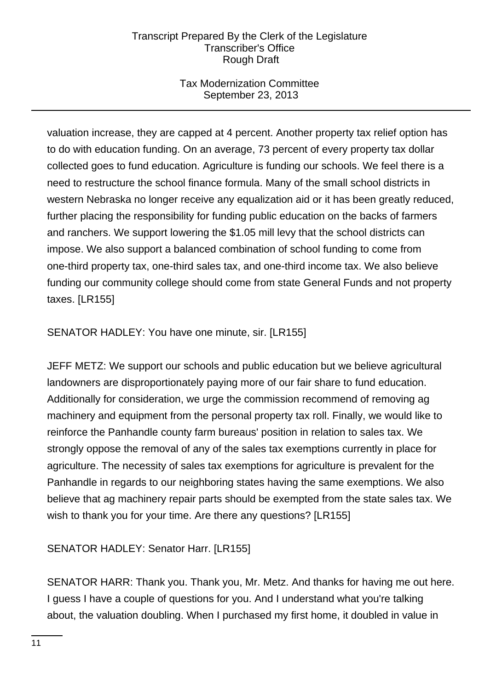# Tax Modernization Committee September 23, 2013

valuation increase, they are capped at 4 percent. Another property tax relief option has to do with education funding. On an average, 73 percent of every property tax dollar collected goes to fund education. Agriculture is funding our schools. We feel there is a need to restructure the school finance formula. Many of the small school districts in western Nebraska no longer receive any equalization aid or it has been greatly reduced, further placing the responsibility for funding public education on the backs of farmers and ranchers. We support lowering the \$1.05 mill levy that the school districts can impose. We also support a balanced combination of school funding to come from one-third property tax, one-third sales tax, and one-third income tax. We also believe funding our community college should come from state General Funds and not property taxes. [LR155]

SENATOR HADLEY: You have one minute, sir. [LR155]

JEFF METZ: We support our schools and public education but we believe agricultural landowners are disproportionately paying more of our fair share to fund education. Additionally for consideration, we urge the commission recommend of removing ag machinery and equipment from the personal property tax roll. Finally, we would like to reinforce the Panhandle county farm bureaus' position in relation to sales tax. We strongly oppose the removal of any of the sales tax exemptions currently in place for agriculture. The necessity of sales tax exemptions for agriculture is prevalent for the Panhandle in regards to our neighboring states having the same exemptions. We also believe that ag machinery repair parts should be exempted from the state sales tax. We wish to thank you for your time. Are there any questions? [LR155]

SENATOR HADLEY: Senator Harr. [LR155]

SENATOR HARR: Thank you. Thank you, Mr. Metz. And thanks for having me out here. I guess I have a couple of questions for you. And I understand what you're talking about, the valuation doubling. When I purchased my first home, it doubled in value in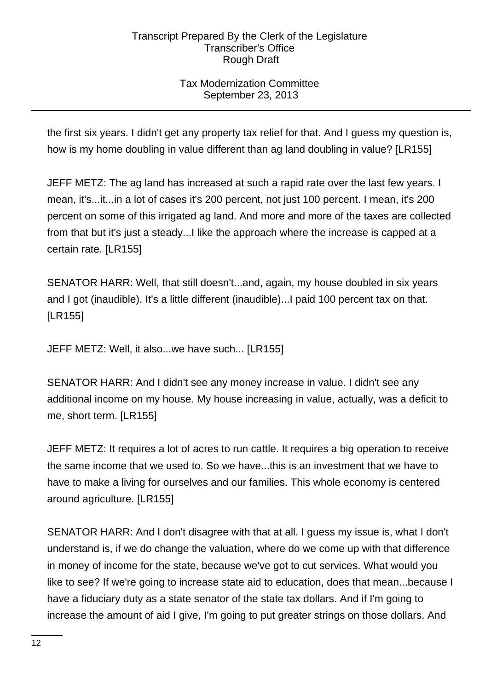# Tax Modernization Committee September 23, 2013

the first six years. I didn't get any property tax relief for that. And I guess my question is, how is my home doubling in value different than ag land doubling in value? [LR155]

JEFF METZ: The ag land has increased at such a rapid rate over the last few years. I mean, it's...it...in a lot of cases it's 200 percent, not just 100 percent. I mean, it's 200 percent on some of this irrigated ag land. And more and more of the taxes are collected from that but it's just a steady...I like the approach where the increase is capped at a certain rate. [LR155]

SENATOR HARR: Well, that still doesn't...and, again, my house doubled in six years and I got (inaudible). It's a little different (inaudible)...I paid 100 percent tax on that. [LR155]

JEFF METZ: Well, it also...we have such... [LR155]

SENATOR HARR: And I didn't see any money increase in value. I didn't see any additional income on my house. My house increasing in value, actually, was a deficit to me, short term. [LR155]

JEFF METZ: It requires a lot of acres to run cattle. It requires a big operation to receive the same income that we used to. So we have...this is an investment that we have to have to make a living for ourselves and our families. This whole economy is centered around agriculture. [LR155]

SENATOR HARR: And I don't disagree with that at all. I guess my issue is, what I don't understand is, if we do change the valuation, where do we come up with that difference in money of income for the state, because we've got to cut services. What would you like to see? If we're going to increase state aid to education, does that mean...because I have a fiduciary duty as a state senator of the state tax dollars. And if I'm going to increase the amount of aid I give, I'm going to put greater strings on those dollars. And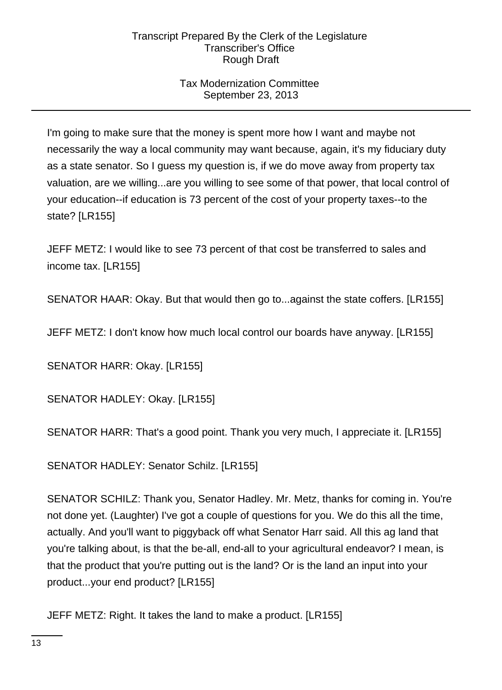# Tax Modernization Committee September 23, 2013

I'm going to make sure that the money is spent more how I want and maybe not necessarily the way a local community may want because, again, it's my fiduciary duty as a state senator. So I guess my question is, if we do move away from property tax valuation, are we willing...are you willing to see some of that power, that local control of your education--if education is 73 percent of the cost of your property taxes--to the state? [LR155]

JEFF METZ: I would like to see 73 percent of that cost be transferred to sales and income tax. [LR155]

SENATOR HAAR: Okay. But that would then go to...against the state coffers. [LR155]

JEFF METZ: I don't know how much local control our boards have anyway. [LR155]

SENATOR HARR: Okay. [LR155]

SENATOR HADLEY: Okay. [LR155]

SENATOR HARR: That's a good point. Thank you very much, I appreciate it. [LR155]

SENATOR HADLEY: Senator Schilz. [LR155]

SENATOR SCHILZ: Thank you, Senator Hadley. Mr. Metz, thanks for coming in. You're not done yet. (Laughter) I've got a couple of questions for you. We do this all the time, actually. And you'll want to piggyback off what Senator Harr said. All this ag land that you're talking about, is that the be-all, end-all to your agricultural endeavor? I mean, is that the product that you're putting out is the land? Or is the land an input into your product...your end product? [LR155]

JEFF METZ: Right. It takes the land to make a product. [LR155]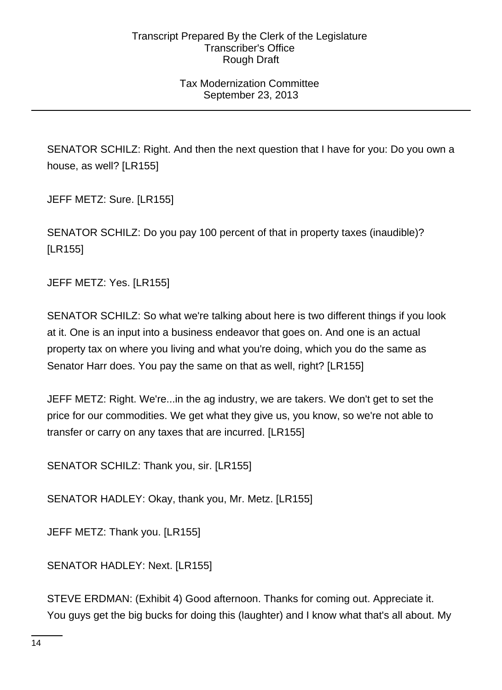# Tax Modernization Committee September 23, 2013

SENATOR SCHILZ: Right. And then the next question that I have for you: Do you own a house, as well? [LR155]

JEFF METZ: Sure. [LR155]

SENATOR SCHILZ: Do you pay 100 percent of that in property taxes (inaudible)? [LR155]

JEFF METZ: Yes. [LR155]

SENATOR SCHILZ: So what we're talking about here is two different things if you look at it. One is an input into a business endeavor that goes on. And one is an actual property tax on where you living and what you're doing, which you do the same as Senator Harr does. You pay the same on that as well, right? [LR155]

JEFF METZ: Right. We're...in the ag industry, we are takers. We don't get to set the price for our commodities. We get what they give us, you know, so we're not able to transfer or carry on any taxes that are incurred. [LR155]

SENATOR SCHILZ: Thank you, sir. [LR155]

SENATOR HADLEY: Okay, thank you, Mr. Metz. [LR155]

JEFF METZ: Thank you. [LR155]

SENATOR HADLEY: Next. [LR155]

STEVE ERDMAN: (Exhibit 4) Good afternoon. Thanks for coming out. Appreciate it. You guys get the big bucks for doing this (laughter) and I know what that's all about. My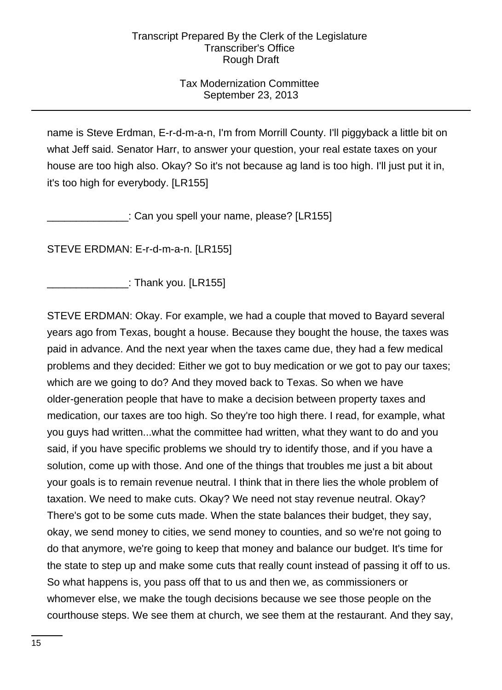# Tax Modernization Committee September 23, 2013

name is Steve Erdman, E-r-d-m-a-n, I'm from Morrill County. I'll piggyback a little bit on what Jeff said. Senator Harr, to answer your question, your real estate taxes on your house are too high also. Okay? So it's not because ag land is too high. I'll just put it in, it's too high for everybody. [LR155]

: Can you spell your name, please? [LR155]

STEVE ERDMAN: E-r-d-m-a-n. [LR155]

\_\_\_\_\_\_\_\_\_\_\_\_\_\_: Thank you. [LR155]

STEVE ERDMAN: Okay. For example, we had a couple that moved to Bayard several years ago from Texas, bought a house. Because they bought the house, the taxes was paid in advance. And the next year when the taxes came due, they had a few medical problems and they decided: Either we got to buy medication or we got to pay our taxes; which are we going to do? And they moved back to Texas. So when we have older-generation people that have to make a decision between property taxes and medication, our taxes are too high. So they're too high there. I read, for example, what you guys had written...what the committee had written, what they want to do and you said, if you have specific problems we should try to identify those, and if you have a solution, come up with those. And one of the things that troubles me just a bit about your goals is to remain revenue neutral. I think that in there lies the whole problem of taxation. We need to make cuts. Okay? We need not stay revenue neutral. Okay? There's got to be some cuts made. When the state balances their budget, they say, okay, we send money to cities, we send money to counties, and so we're not going to do that anymore, we're going to keep that money and balance our budget. It's time for the state to step up and make some cuts that really count instead of passing it off to us. So what happens is, you pass off that to us and then we, as commissioners or whomever else, we make the tough decisions because we see those people on the courthouse steps. We see them at church, we see them at the restaurant. And they say,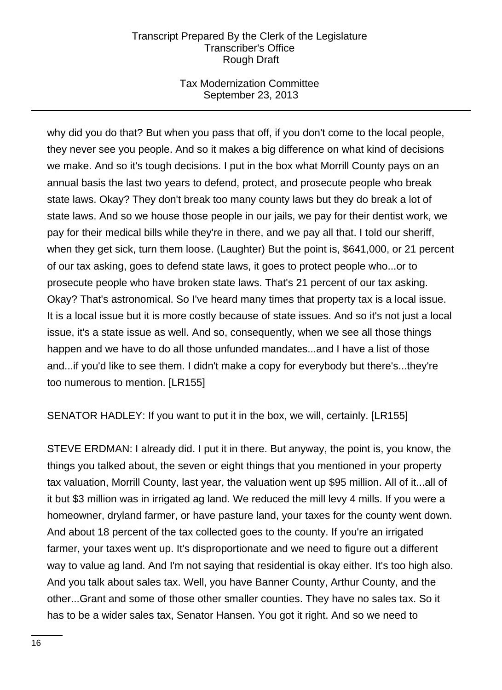# Tax Modernization Committee September 23, 2013

why did you do that? But when you pass that off, if you don't come to the local people, they never see you people. And so it makes a big difference on what kind of decisions we make. And so it's tough decisions. I put in the box what Morrill County pays on an annual basis the last two years to defend, protect, and prosecute people who break state laws. Okay? They don't break too many county laws but they do break a lot of state laws. And so we house those people in our jails, we pay for their dentist work, we pay for their medical bills while they're in there, and we pay all that. I told our sheriff, when they get sick, turn them loose. (Laughter) But the point is, \$641,000, or 21 percent of our tax asking, goes to defend state laws, it goes to protect people who...or to prosecute people who have broken state laws. That's 21 percent of our tax asking. Okay? That's astronomical. So I've heard many times that property tax is a local issue. It is a local issue but it is more costly because of state issues. And so it's not just a local issue, it's a state issue as well. And so, consequently, when we see all those things happen and we have to do all those unfunded mandates...and I have a list of those and...if you'd like to see them. I didn't make a copy for everybody but there's...they're too numerous to mention. [LR155]

SENATOR HADLEY: If you want to put it in the box, we will, certainly. [LR155]

STEVE ERDMAN: I already did. I put it in there. But anyway, the point is, you know, the things you talked about, the seven or eight things that you mentioned in your property tax valuation, Morrill County, last year, the valuation went up \$95 million. All of it...all of it but \$3 million was in irrigated ag land. We reduced the mill levy 4 mills. If you were a homeowner, dryland farmer, or have pasture land, your taxes for the county went down. And about 18 percent of the tax collected goes to the county. If you're an irrigated farmer, your taxes went up. It's disproportionate and we need to figure out a different way to value ag land. And I'm not saying that residential is okay either. It's too high also. And you talk about sales tax. Well, you have Banner County, Arthur County, and the other...Grant and some of those other smaller counties. They have no sales tax. So it has to be a wider sales tax, Senator Hansen. You got it right. And so we need to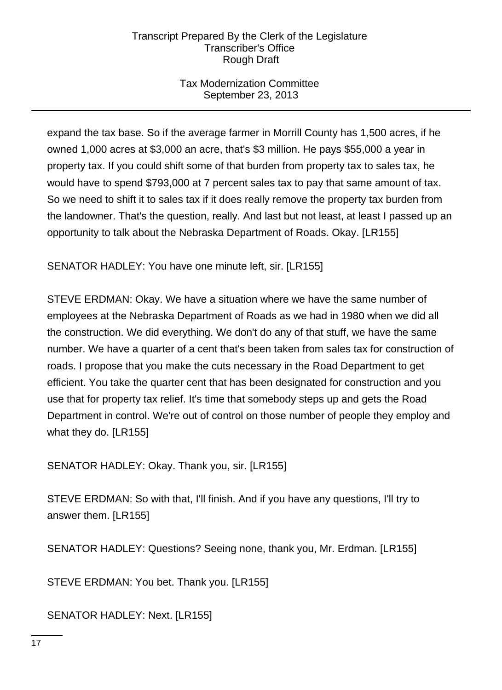# Tax Modernization Committee September 23, 2013

expand the tax base. So if the average farmer in Morrill County has 1,500 acres, if he owned 1,000 acres at \$3,000 an acre, that's \$3 million. He pays \$55,000 a year in property tax. If you could shift some of that burden from property tax to sales tax, he would have to spend \$793,000 at 7 percent sales tax to pay that same amount of tax. So we need to shift it to sales tax if it does really remove the property tax burden from the landowner. That's the question, really. And last but not least, at least I passed up an opportunity to talk about the Nebraska Department of Roads. Okay. [LR155]

SENATOR HADLEY: You have one minute left, sir. [LR155]

STEVE ERDMAN: Okay. We have a situation where we have the same number of employees at the Nebraska Department of Roads as we had in 1980 when we did all the construction. We did everything. We don't do any of that stuff, we have the same number. We have a quarter of a cent that's been taken from sales tax for construction of roads. I propose that you make the cuts necessary in the Road Department to get efficient. You take the quarter cent that has been designated for construction and you use that for property tax relief. It's time that somebody steps up and gets the Road Department in control. We're out of control on those number of people they employ and what they do. [LR155]

SENATOR HADLEY: Okay. Thank you, sir. [LR155]

STEVE ERDMAN: So with that, I'll finish. And if you have any questions, I'll try to answer them. [LR155]

SENATOR HADLEY: Questions? Seeing none, thank you, Mr. Erdman. [LR155]

STEVE ERDMAN: You bet. Thank you. [LR155]

SENATOR HADLEY: Next. [LR155]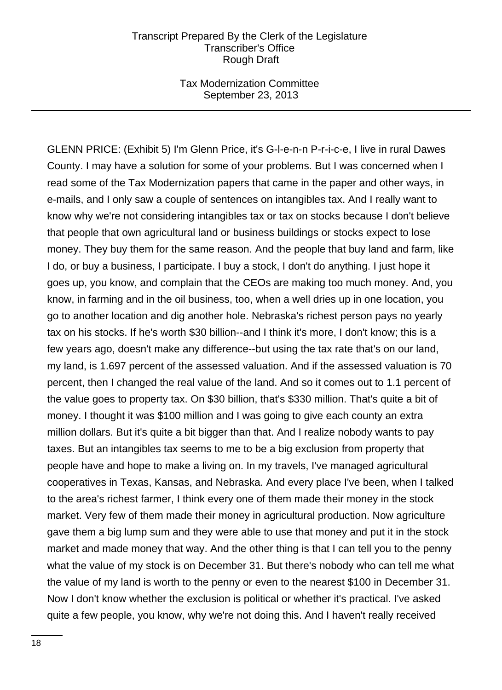Tax Modernization Committee September 23, 2013

GLENN PRICE: (Exhibit 5) I'm Glenn Price, it's G-l-e-n-n P-r-i-c-e, I live in rural Dawes County. I may have a solution for some of your problems. But I was concerned when I read some of the Tax Modernization papers that came in the paper and other ways, in e-mails, and I only saw a couple of sentences on intangibles tax. And I really want to know why we're not considering intangibles tax or tax on stocks because I don't believe that people that own agricultural land or business buildings or stocks expect to lose money. They buy them for the same reason. And the people that buy land and farm, like I do, or buy a business, I participate. I buy a stock, I don't do anything. I just hope it goes up, you know, and complain that the CEOs are making too much money. And, you know, in farming and in the oil business, too, when a well dries up in one location, you go to another location and dig another hole. Nebraska's richest person pays no yearly tax on his stocks. If he's worth \$30 billion--and I think it's more, I don't know; this is a few years ago, doesn't make any difference--but using the tax rate that's on our land, my land, is 1.697 percent of the assessed valuation. And if the assessed valuation is 70 percent, then I changed the real value of the land. And so it comes out to 1.1 percent of the value goes to property tax. On \$30 billion, that's \$330 million. That's quite a bit of money. I thought it was \$100 million and I was going to give each county an extra million dollars. But it's quite a bit bigger than that. And I realize nobody wants to pay taxes. But an intangibles tax seems to me to be a big exclusion from property that people have and hope to make a living on. In my travels, I've managed agricultural cooperatives in Texas, Kansas, and Nebraska. And every place I've been, when I talked to the area's richest farmer, I think every one of them made their money in the stock market. Very few of them made their money in agricultural production. Now agriculture gave them a big lump sum and they were able to use that money and put it in the stock market and made money that way. And the other thing is that I can tell you to the penny what the value of my stock is on December 31. But there's nobody who can tell me what the value of my land is worth to the penny or even to the nearest \$100 in December 31. Now I don't know whether the exclusion is political or whether it's practical. I've asked quite a few people, you know, why we're not doing this. And I haven't really received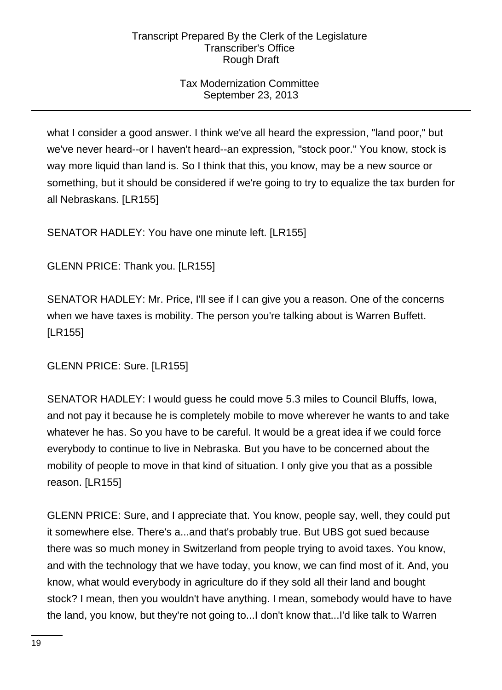# Tax Modernization Committee September 23, 2013

what I consider a good answer. I think we've all heard the expression, "land poor," but we've never heard--or I haven't heard--an expression, "stock poor." You know, stock is way more liquid than land is. So I think that this, you know, may be a new source or something, but it should be considered if we're going to try to equalize the tax burden for all Nebraskans. [LR155]

SENATOR HADLEY: You have one minute left. [LR155]

GLENN PRICE: Thank you. [LR155]

SENATOR HADLEY: Mr. Price, I'll see if I can give you a reason. One of the concerns when we have taxes is mobility. The person you're talking about is Warren Buffett. [LR155]

GLENN PRICE: Sure. [LR155]

SENATOR HADLEY: I would guess he could move 5.3 miles to Council Bluffs, Iowa, and not pay it because he is completely mobile to move wherever he wants to and take whatever he has. So you have to be careful. It would be a great idea if we could force everybody to continue to live in Nebraska. But you have to be concerned about the mobility of people to move in that kind of situation. I only give you that as a possible reason. [LR155]

GLENN PRICE: Sure, and I appreciate that. You know, people say, well, they could put it somewhere else. There's a...and that's probably true. But UBS got sued because there was so much money in Switzerland from people trying to avoid taxes. You know, and with the technology that we have today, you know, we can find most of it. And, you know, what would everybody in agriculture do if they sold all their land and bought stock? I mean, then you wouldn't have anything. I mean, somebody would have to have the land, you know, but they're not going to...I don't know that...I'd like talk to Warren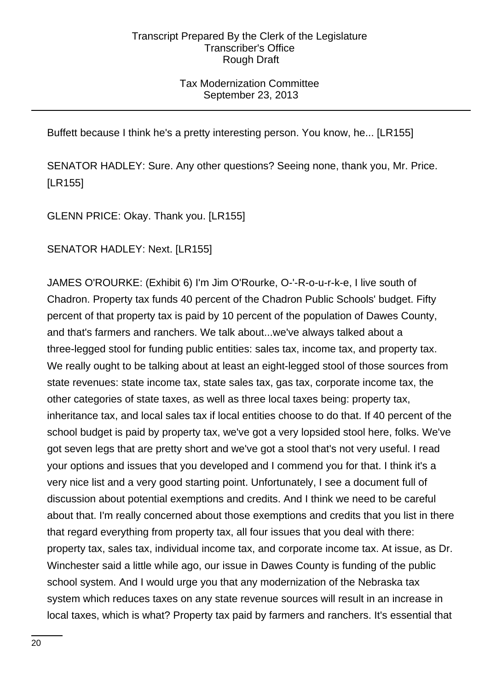# Tax Modernization Committee September 23, 2013

Buffett because I think he's a pretty interesting person. You know, he... [LR155]

SENATOR HADLEY: Sure. Any other questions? Seeing none, thank you, Mr. Price. [LR155]

GLENN PRICE: Okay. Thank you. [LR155]

SENATOR HADLEY: Next. [LR155]

JAMES O'ROURKE: (Exhibit 6) I'm Jim O'Rourke, O-'-R-o-u-r-k-e, I live south of Chadron. Property tax funds 40 percent of the Chadron Public Schools' budget. Fifty percent of that property tax is paid by 10 percent of the population of Dawes County, and that's farmers and ranchers. We talk about...we've always talked about a three-legged stool for funding public entities: sales tax, income tax, and property tax. We really ought to be talking about at least an eight-legged stool of those sources from state revenues: state income tax, state sales tax, gas tax, corporate income tax, the other categories of state taxes, as well as three local taxes being: property tax, inheritance tax, and local sales tax if local entities choose to do that. If 40 percent of the school budget is paid by property tax, we've got a very lopsided stool here, folks. We've got seven legs that are pretty short and we've got a stool that's not very useful. I read your options and issues that you developed and I commend you for that. I think it's a very nice list and a very good starting point. Unfortunately, I see a document full of discussion about potential exemptions and credits. And I think we need to be careful about that. I'm really concerned about those exemptions and credits that you list in there that regard everything from property tax, all four issues that you deal with there: property tax, sales tax, individual income tax, and corporate income tax. At issue, as Dr. Winchester said a little while ago, our issue in Dawes County is funding of the public school system. And I would urge you that any modernization of the Nebraska tax system which reduces taxes on any state revenue sources will result in an increase in local taxes, which is what? Property tax paid by farmers and ranchers. It's essential that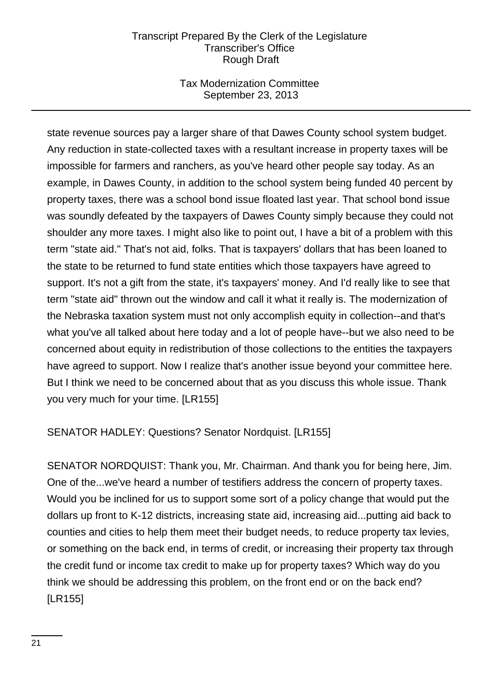# Tax Modernization Committee September 23, 2013

state revenue sources pay a larger share of that Dawes County school system budget. Any reduction in state-collected taxes with a resultant increase in property taxes will be impossible for farmers and ranchers, as you've heard other people say today. As an example, in Dawes County, in addition to the school system being funded 40 percent by property taxes, there was a school bond issue floated last year. That school bond issue was soundly defeated by the taxpayers of Dawes County simply because they could not shoulder any more taxes. I might also like to point out, I have a bit of a problem with this term "state aid." That's not aid, folks. That is taxpayers' dollars that has been loaned to the state to be returned to fund state entities which those taxpayers have agreed to support. It's not a gift from the state, it's taxpayers' money. And I'd really like to see that term "state aid" thrown out the window and call it what it really is. The modernization of the Nebraska taxation system must not only accomplish equity in collection--and that's what you've all talked about here today and a lot of people have--but we also need to be concerned about equity in redistribution of those collections to the entities the taxpayers have agreed to support. Now I realize that's another issue beyond your committee here. But I think we need to be concerned about that as you discuss this whole issue. Thank you very much for your time. [LR155]

SENATOR HADLEY: Questions? Senator Nordquist. [LR155]

SENATOR NORDQUIST: Thank you, Mr. Chairman. And thank you for being here, Jim. One of the...we've heard a number of testifiers address the concern of property taxes. Would you be inclined for us to support some sort of a policy change that would put the dollars up front to K-12 districts, increasing state aid, increasing aid...putting aid back to counties and cities to help them meet their budget needs, to reduce property tax levies, or something on the back end, in terms of credit, or increasing their property tax through the credit fund or income tax credit to make up for property taxes? Which way do you think we should be addressing this problem, on the front end or on the back end? [LR155]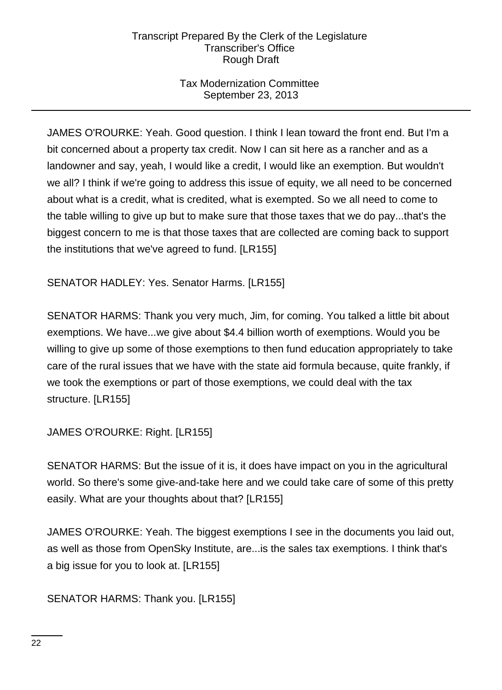# Tax Modernization Committee September 23, 2013

JAMES O'ROURKE: Yeah. Good question. I think I lean toward the front end. But I'm a bit concerned about a property tax credit. Now I can sit here as a rancher and as a landowner and say, yeah, I would like a credit, I would like an exemption. But wouldn't we all? I think if we're going to address this issue of equity, we all need to be concerned about what is a credit, what is credited, what is exempted. So we all need to come to the table willing to give up but to make sure that those taxes that we do pay...that's the biggest concern to me is that those taxes that are collected are coming back to support the institutions that we've agreed to fund. [LR155]

SENATOR HADLEY: Yes. Senator Harms. [LR155]

SENATOR HARMS: Thank you very much, Jim, for coming. You talked a little bit about exemptions. We have...we give about \$4.4 billion worth of exemptions. Would you be willing to give up some of those exemptions to then fund education appropriately to take care of the rural issues that we have with the state aid formula because, quite frankly, if we took the exemptions or part of those exemptions, we could deal with the tax structure. [LR155]

JAMES O'ROURKE: Right. [LR155]

SENATOR HARMS: But the issue of it is, it does have impact on you in the agricultural world. So there's some give-and-take here and we could take care of some of this pretty easily. What are your thoughts about that? [LR155]

JAMES O'ROURKE: Yeah. The biggest exemptions I see in the documents you laid out, as well as those from OpenSky Institute, are...is the sales tax exemptions. I think that's a big issue for you to look at. [LR155]

SENATOR HARMS: Thank you. [LR155]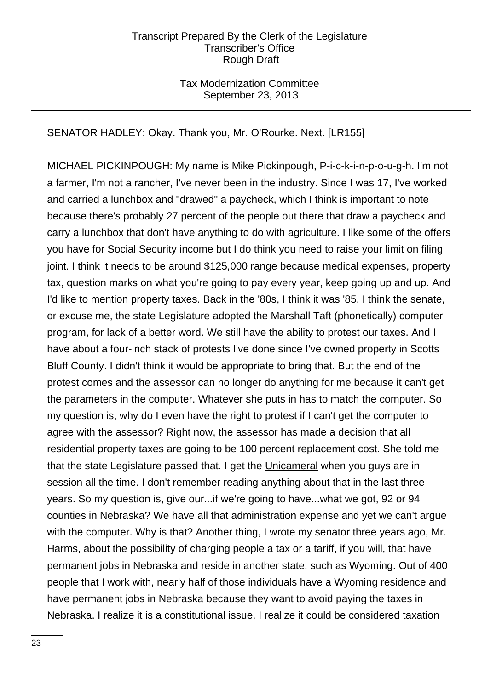# Tax Modernization Committee September 23, 2013

# SENATOR HADLEY: Okay. Thank you, Mr. O'Rourke. Next. [LR155]

MICHAEL PICKINPOUGH: My name is Mike Pickinpough, P-i-c-k-i-n-p-o-u-g-h. I'm not a farmer, I'm not a rancher, I've never been in the industry. Since I was 17, I've worked and carried a lunchbox and "drawed" a paycheck, which I think is important to note because there's probably 27 percent of the people out there that draw a paycheck and carry a lunchbox that don't have anything to do with agriculture. I like some of the offers you have for Social Security income but I do think you need to raise your limit on filing joint. I think it needs to be around \$125,000 range because medical expenses, property tax, question marks on what you're going to pay every year, keep going up and up. And I'd like to mention property taxes. Back in the '80s, I think it was '85, I think the senate, or excuse me, the state Legislature adopted the Marshall Taft (phonetically) computer program, for lack of a better word. We still have the ability to protest our taxes. And I have about a four-inch stack of protests I've done since I've owned property in Scotts Bluff County. I didn't think it would be appropriate to bring that. But the end of the protest comes and the assessor can no longer do anything for me because it can't get the parameters in the computer. Whatever she puts in has to match the computer. So my question is, why do I even have the right to protest if I can't get the computer to agree with the assessor? Right now, the assessor has made a decision that all residential property taxes are going to be 100 percent replacement cost. She told me that the state Legislature passed that. I get the Unicameral when you guys are in session all the time. I don't remember reading anything about that in the last three years. So my question is, give our...if we're going to have...what we got, 92 or 94 counties in Nebraska? We have all that administration expense and yet we can't argue with the computer. Why is that? Another thing, I wrote my senator three years ago, Mr. Harms, about the possibility of charging people a tax or a tariff, if you will, that have permanent jobs in Nebraska and reside in another state, such as Wyoming. Out of 400 people that I work with, nearly half of those individuals have a Wyoming residence and have permanent jobs in Nebraska because they want to avoid paying the taxes in Nebraska. I realize it is a constitutional issue. I realize it could be considered taxation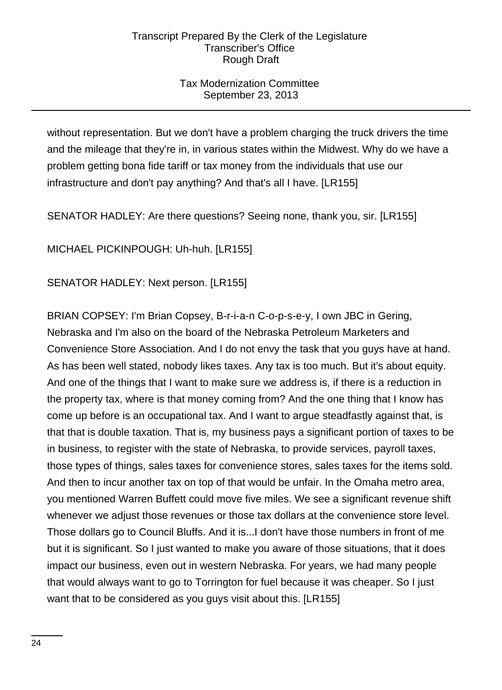# Tax Modernization Committee September 23, 2013

without representation. But we don't have a problem charging the truck drivers the time and the mileage that they're in, in various states within the Midwest. Why do we have a problem getting bona fide tariff or tax money from the individuals that use our infrastructure and don't pay anything? And that's all I have. [LR155]

SENATOR HADLEY: Are there questions? Seeing none, thank you, sir. [LR155]

MICHAEL PICKINPOUGH: Uh-huh. [LR155]

SENATOR HADLEY: Next person. [LR155]

BRIAN COPSEY: I'm Brian Copsey, B-r-i-a-n C-o-p-s-e-y, I own JBC in Gering, Nebraska and I'm also on the board of the Nebraska Petroleum Marketers and Convenience Store Association. And I do not envy the task that you guys have at hand. As has been well stated, nobody likes taxes. Any tax is too much. But it's about equity. And one of the things that I want to make sure we address is, if there is a reduction in the property tax, where is that money coming from? And the one thing that I know has come up before is an occupational tax. And I want to argue steadfastly against that, is that that is double taxation. That is, my business pays a significant portion of taxes to be in business, to register with the state of Nebraska, to provide services, payroll taxes, those types of things, sales taxes for convenience stores, sales taxes for the items sold. And then to incur another tax on top of that would be unfair. In the Omaha metro area, you mentioned Warren Buffett could move five miles. We see a significant revenue shift whenever we adjust those revenues or those tax dollars at the convenience store level. Those dollars go to Council Bluffs. And it is...I don't have those numbers in front of me but it is significant. So I just wanted to make you aware of those situations, that it does impact our business, even out in western Nebraska. For years, we had many people that would always want to go to Torrington for fuel because it was cheaper. So I just want that to be considered as you guys visit about this. [LR155]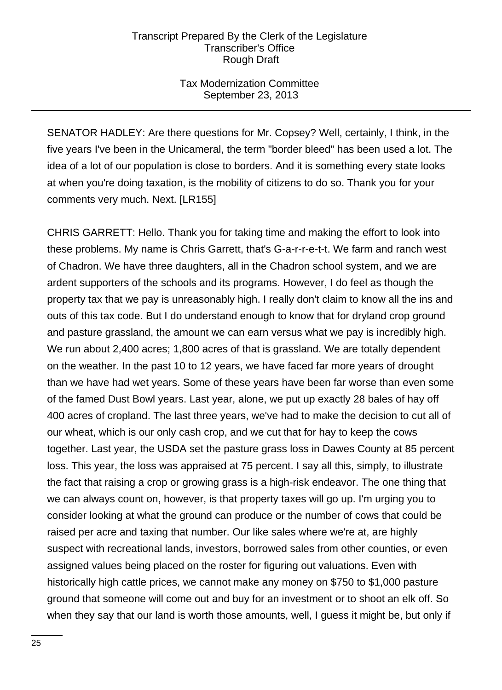# Tax Modernization Committee September 23, 2013

SENATOR HADLEY: Are there questions for Mr. Copsey? Well, certainly, I think, in the five years I've been in the Unicameral, the term "border bleed" has been used a lot. The idea of a lot of our population is close to borders. And it is something every state looks at when you're doing taxation, is the mobility of citizens to do so. Thank you for your comments very much. Next. [LR155]

CHRIS GARRETT: Hello. Thank you for taking time and making the effort to look into these problems. My name is Chris Garrett, that's G-a-r-r-e-t-t. We farm and ranch west of Chadron. We have three daughters, all in the Chadron school system, and we are ardent supporters of the schools and its programs. However, I do feel as though the property tax that we pay is unreasonably high. I really don't claim to know all the ins and outs of this tax code. But I do understand enough to know that for dryland crop ground and pasture grassland, the amount we can earn versus what we pay is incredibly high. We run about 2,400 acres; 1,800 acres of that is grassland. We are totally dependent on the weather. In the past 10 to 12 years, we have faced far more years of drought than we have had wet years. Some of these years have been far worse than even some of the famed Dust Bowl years. Last year, alone, we put up exactly 28 bales of hay off 400 acres of cropland. The last three years, we've had to make the decision to cut all of our wheat, which is our only cash crop, and we cut that for hay to keep the cows together. Last year, the USDA set the pasture grass loss in Dawes County at 85 percent loss. This year, the loss was appraised at 75 percent. I say all this, simply, to illustrate the fact that raising a crop or growing grass is a high-risk endeavor. The one thing that we can always count on, however, is that property taxes will go up. I'm urging you to consider looking at what the ground can produce or the number of cows that could be raised per acre and taxing that number. Our like sales where we're at, are highly suspect with recreational lands, investors, borrowed sales from other counties, or even assigned values being placed on the roster for figuring out valuations. Even with historically high cattle prices, we cannot make any money on \$750 to \$1,000 pasture ground that someone will come out and buy for an investment or to shoot an elk off. So when they say that our land is worth those amounts, well, I guess it might be, but only if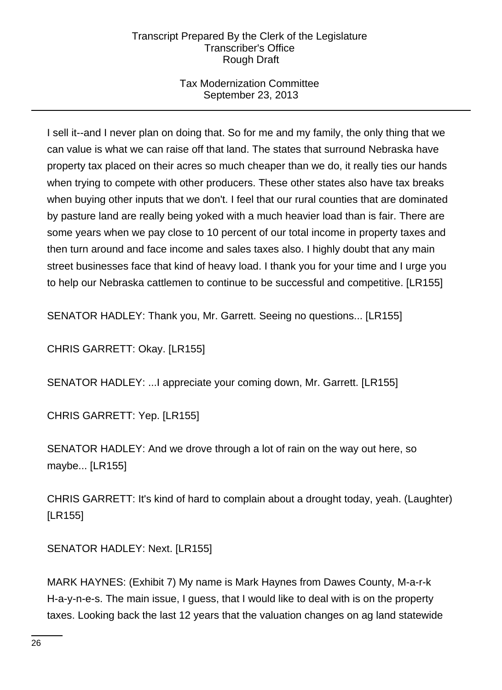# Tax Modernization Committee September 23, 2013

I sell it--and I never plan on doing that. So for me and my family, the only thing that we can value is what we can raise off that land. The states that surround Nebraska have property tax placed on their acres so much cheaper than we do, it really ties our hands when trying to compete with other producers. These other states also have tax breaks when buying other inputs that we don't. I feel that our rural counties that are dominated by pasture land are really being yoked with a much heavier load than is fair. There are some years when we pay close to 10 percent of our total income in property taxes and then turn around and face income and sales taxes also. I highly doubt that any main street businesses face that kind of heavy load. I thank you for your time and I urge you to help our Nebraska cattlemen to continue to be successful and competitive. [LR155]

SENATOR HADLEY: Thank you, Mr. Garrett. Seeing no questions... [LR155]

CHRIS GARRETT: Okay. [LR155]

SENATOR HADLEY: ...I appreciate your coming down, Mr. Garrett. [LR155]

CHRIS GARRETT: Yep. [LR155]

SENATOR HADLEY: And we drove through a lot of rain on the way out here, so maybe... [LR155]

CHRIS GARRETT: It's kind of hard to complain about a drought today, yeah. (Laughter) [LR155]

SENATOR HADLEY: Next. [LR155]

MARK HAYNES: (Exhibit 7) My name is Mark Haynes from Dawes County, M-a-r-k H-a-y-n-e-s. The main issue, I guess, that I would like to deal with is on the property taxes. Looking back the last 12 years that the valuation changes on ag land statewide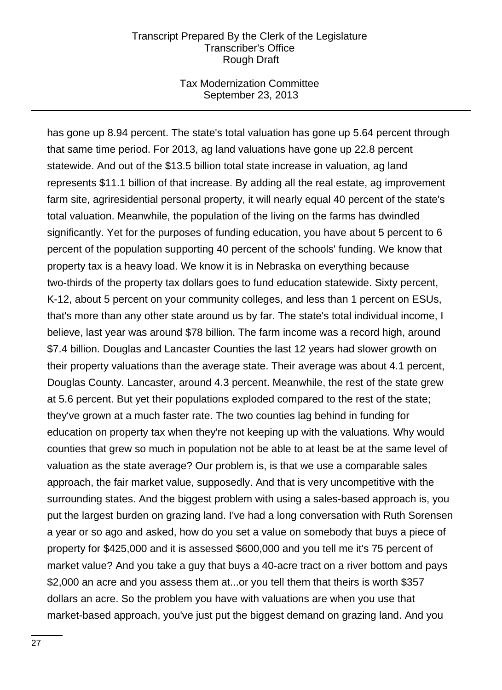### Tax Modernization Committee September 23, 2013

has gone up 8.94 percent. The state's total valuation has gone up 5.64 percent through that same time period. For 2013, ag land valuations have gone up 22.8 percent statewide. And out of the \$13.5 billion total state increase in valuation, ag land represents \$11.1 billion of that increase. By adding all the real estate, ag improvement farm site, agriresidential personal property, it will nearly equal 40 percent of the state's total valuation. Meanwhile, the population of the living on the farms has dwindled significantly. Yet for the purposes of funding education, you have about 5 percent to 6 percent of the population supporting 40 percent of the schools' funding. We know that property tax is a heavy load. We know it is in Nebraska on everything because two-thirds of the property tax dollars goes to fund education statewide. Sixty percent, K-12, about 5 percent on your community colleges, and less than 1 percent on ESUs, that's more than any other state around us by far. The state's total individual income, I believe, last year was around \$78 billion. The farm income was a record high, around \$7.4 billion. Douglas and Lancaster Counties the last 12 years had slower growth on their property valuations than the average state. Their average was about 4.1 percent, Douglas County. Lancaster, around 4.3 percent. Meanwhile, the rest of the state grew at 5.6 percent. But yet their populations exploded compared to the rest of the state; they've grown at a much faster rate. The two counties lag behind in funding for education on property tax when they're not keeping up with the valuations. Why would counties that grew so much in population not be able to at least be at the same level of valuation as the state average? Our problem is, is that we use a comparable sales approach, the fair market value, supposedly. And that is very uncompetitive with the surrounding states. And the biggest problem with using a sales-based approach is, you put the largest burden on grazing land. I've had a long conversation with Ruth Sorensen a year or so ago and asked, how do you set a value on somebody that buys a piece of property for \$425,000 and it is assessed \$600,000 and you tell me it's 75 percent of market value? And you take a guy that buys a 40-acre tract on a river bottom and pays \$2,000 an acre and you assess them at...or you tell them that theirs is worth \$357 dollars an acre. So the problem you have with valuations are when you use that market-based approach, you've just put the biggest demand on grazing land. And you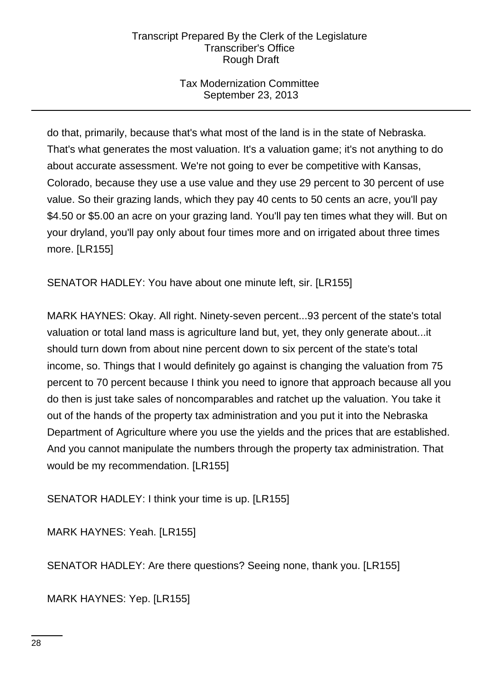# Tax Modernization Committee September 23, 2013

do that, primarily, because that's what most of the land is in the state of Nebraska. That's what generates the most valuation. It's a valuation game; it's not anything to do about accurate assessment. We're not going to ever be competitive with Kansas, Colorado, because they use a use value and they use 29 percent to 30 percent of use value. So their grazing lands, which they pay 40 cents to 50 cents an acre, you'll pay \$4.50 or \$5.00 an acre on your grazing land. You'll pay ten times what they will. But on your dryland, you'll pay only about four times more and on irrigated about three times more. [LR155]

SENATOR HADLEY: You have about one minute left, sir. [LR155]

MARK HAYNES: Okay. All right. Ninety-seven percent...93 percent of the state's total valuation or total land mass is agriculture land but, yet, they only generate about...it should turn down from about nine percent down to six percent of the state's total income, so. Things that I would definitely go against is changing the valuation from 75 percent to 70 percent because I think you need to ignore that approach because all you do then is just take sales of noncomparables and ratchet up the valuation. You take it out of the hands of the property tax administration and you put it into the Nebraska Department of Agriculture where you use the yields and the prices that are established. And you cannot manipulate the numbers through the property tax administration. That would be my recommendation. [LR155]

SENATOR HADLEY: I think your time is up. [LR155]

MARK HAYNES: Yeah. [LR155]

SENATOR HADLEY: Are there questions? Seeing none, thank you. [LR155]

MARK HAYNES: Yep. [LR155]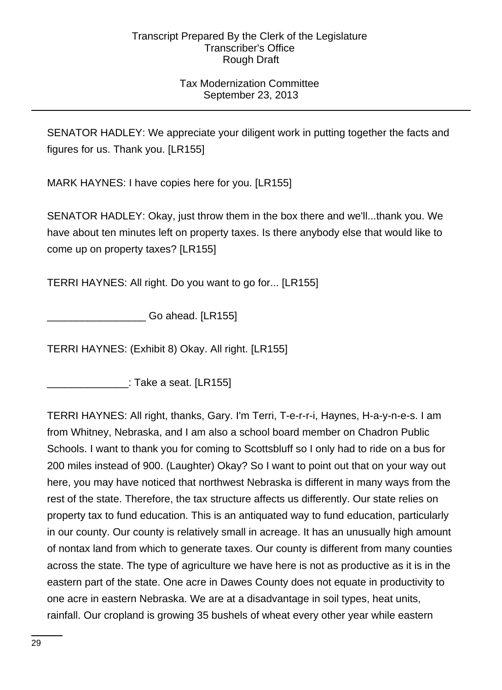# Tax Modernization Committee September 23, 2013

SENATOR HADLEY: We appreciate your diligent work in putting together the facts and figures for us. Thank you. [LR155]

MARK HAYNES: I have copies here for you. [LR155]

SENATOR HADLEY: Okay, just throw them in the box there and we'll...thank you. We have about ten minutes left on property taxes. Is there anybody else that would like to come up on property taxes? [LR155]

TERRI HAYNES: All right. Do you want to go for... [LR155]

Go ahead. [LR155]

TERRI HAYNES: (Exhibit 8) Okay. All right. [LR155]

 $\therefore$  Take a seat. [LR155]

TERRI HAYNES: All right, thanks, Gary. I'm Terri, T-e-r-r-i, Haynes, H-a-y-n-e-s. I am from Whitney, Nebraska, and I am also a school board member on Chadron Public Schools. I want to thank you for coming to Scottsbluff so I only had to ride on a bus for 200 miles instead of 900. (Laughter) Okay? So I want to point out that on your way out here, you may have noticed that northwest Nebraska is different in many ways from the rest of the state. Therefore, the tax structure affects us differently. Our state relies on property tax to fund education. This is an antiquated way to fund education, particularly in our county. Our county is relatively small in acreage. It has an unusually high amount of nontax land from which to generate taxes. Our county is different from many counties across the state. The type of agriculture we have here is not as productive as it is in the eastern part of the state. One acre in Dawes County does not equate in productivity to one acre in eastern Nebraska. We are at a disadvantage in soil types, heat units, rainfall. Our cropland is growing 35 bushels of wheat every other year while eastern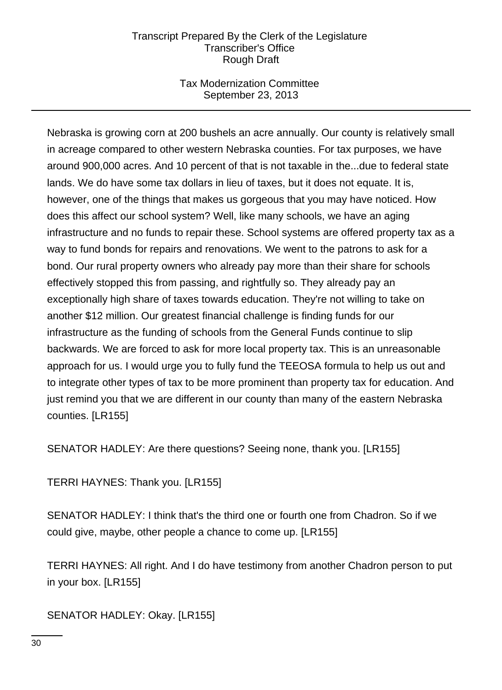# Tax Modernization Committee September 23, 2013

Nebraska is growing corn at 200 bushels an acre annually. Our county is relatively small in acreage compared to other western Nebraska counties. For tax purposes, we have around 900,000 acres. And 10 percent of that is not taxable in the...due to federal state lands. We do have some tax dollars in lieu of taxes, but it does not equate. It is, however, one of the things that makes us gorgeous that you may have noticed. How does this affect our school system? Well, like many schools, we have an aging infrastructure and no funds to repair these. School systems are offered property tax as a way to fund bonds for repairs and renovations. We went to the patrons to ask for a bond. Our rural property owners who already pay more than their share for schools effectively stopped this from passing, and rightfully so. They already pay an exceptionally high share of taxes towards education. They're not willing to take on another \$12 million. Our greatest financial challenge is finding funds for our infrastructure as the funding of schools from the General Funds continue to slip backwards. We are forced to ask for more local property tax. This is an unreasonable approach for us. I would urge you to fully fund the TEEOSA formula to help us out and to integrate other types of tax to be more prominent than property tax for education. And just remind you that we are different in our county than many of the eastern Nebraska counties. [LR155]

SENATOR HADLEY: Are there questions? Seeing none, thank you. [LR155]

TERRI HAYNES: Thank you. [LR155]

SENATOR HADLEY: I think that's the third one or fourth one from Chadron. So if we could give, maybe, other people a chance to come up. [LR155]

TERRI HAYNES: All right. And I do have testimony from another Chadron person to put in your box. [LR155]

SENATOR HADLEY: Okay. [LR155]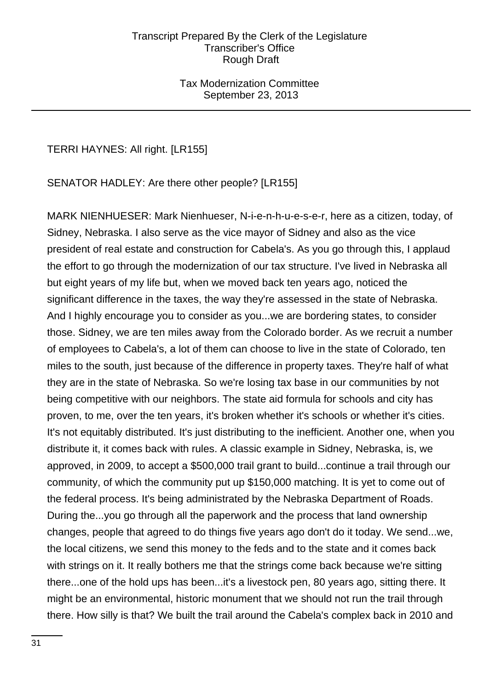### Tax Modernization Committee September 23, 2013

TERRI HAYNES: All right. [LR155]

SENATOR HADLEY: Are there other people? [LR155]

MARK NIENHUESER: Mark Nienhueser, N-i-e-n-h-u-e-s-e-r, here as a citizen, today, of Sidney, Nebraska. I also serve as the vice mayor of Sidney and also as the vice president of real estate and construction for Cabela's. As you go through this, I applaud the effort to go through the modernization of our tax structure. I've lived in Nebraska all but eight years of my life but, when we moved back ten years ago, noticed the significant difference in the taxes, the way they're assessed in the state of Nebraska. And I highly encourage you to consider as you...we are bordering states, to consider those. Sidney, we are ten miles away from the Colorado border. As we recruit a number of employees to Cabela's, a lot of them can choose to live in the state of Colorado, ten miles to the south, just because of the difference in property taxes. They're half of what they are in the state of Nebraska. So we're losing tax base in our communities by not being competitive with our neighbors. The state aid formula for schools and city has proven, to me, over the ten years, it's broken whether it's schools or whether it's cities. It's not equitably distributed. It's just distributing to the inefficient. Another one, when you distribute it, it comes back with rules. A classic example in Sidney, Nebraska, is, we approved, in 2009, to accept a \$500,000 trail grant to build...continue a trail through our community, of which the community put up \$150,000 matching. It is yet to come out of the federal process. It's being administrated by the Nebraska Department of Roads. During the...you go through all the paperwork and the process that land ownership changes, people that agreed to do things five years ago don't do it today. We send...we, the local citizens, we send this money to the feds and to the state and it comes back with strings on it. It really bothers me that the strings come back because we're sitting there...one of the hold ups has been...it's a livestock pen, 80 years ago, sitting there. It might be an environmental, historic monument that we should not run the trail through there. How silly is that? We built the trail around the Cabela's complex back in 2010 and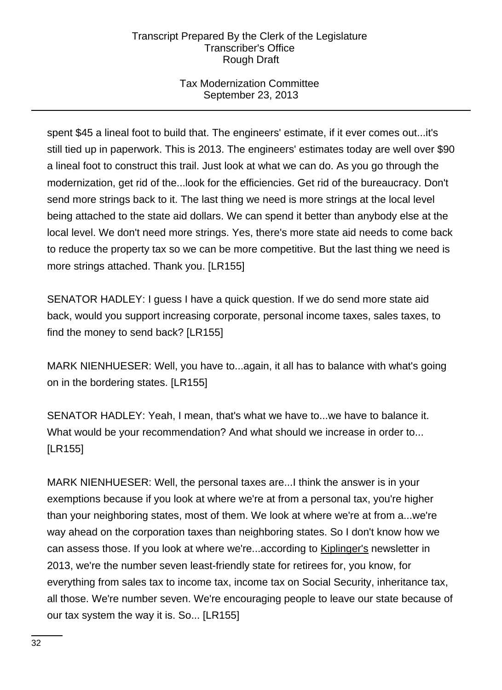# Tax Modernization Committee September 23, 2013

spent \$45 a lineal foot to build that. The engineers' estimate, if it ever comes out...it's still tied up in paperwork. This is 2013. The engineers' estimates today are well over \$90 a lineal foot to construct this trail. Just look at what we can do. As you go through the modernization, get rid of the...look for the efficiencies. Get rid of the bureaucracy. Don't send more strings back to it. The last thing we need is more strings at the local level being attached to the state aid dollars. We can spend it better than anybody else at the local level. We don't need more strings. Yes, there's more state aid needs to come back to reduce the property tax so we can be more competitive. But the last thing we need is more strings attached. Thank you. [LR155]

SENATOR HADLEY: I guess I have a quick question. If we do send more state aid back, would you support increasing corporate, personal income taxes, sales taxes, to find the money to send back? [LR155]

MARK NIENHUESER: Well, you have to...again, it all has to balance with what's going on in the bordering states. [LR155]

SENATOR HADLEY: Yeah, I mean, that's what we have to...we have to balance it. What would be your recommendation? And what should we increase in order to... [LR155]

MARK NIENHUESER: Well, the personal taxes are...I think the answer is in your exemptions because if you look at where we're at from a personal tax, you're higher than your neighboring states, most of them. We look at where we're at from a...we're way ahead on the corporation taxes than neighboring states. So I don't know how we can assess those. If you look at where we're...according to **Kiplinger's newsletter in** 2013, we're the number seven least-friendly state for retirees for, you know, for everything from sales tax to income tax, income tax on Social Security, inheritance tax, all those. We're number seven. We're encouraging people to leave our state because of our tax system the way it is. So... [LR155]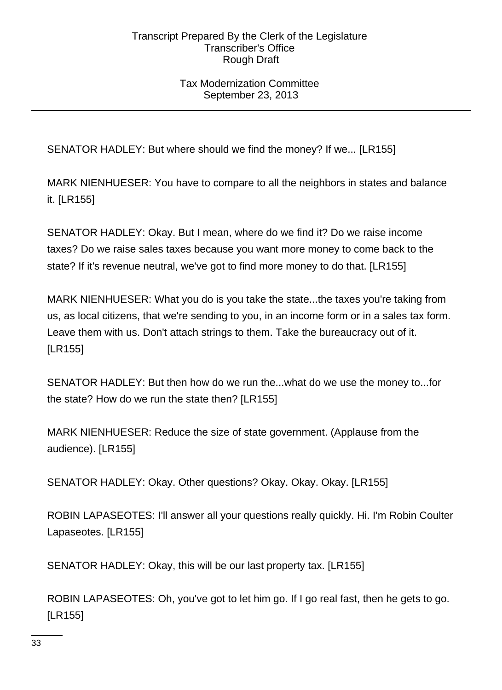# Tax Modernization Committee September 23, 2013

SENATOR HADLEY: But where should we find the money? If we... [LR155]

MARK NIENHUESER: You have to compare to all the neighbors in states and balance it. [LR155]

SENATOR HADLEY: Okay. But I mean, where do we find it? Do we raise income taxes? Do we raise sales taxes because you want more money to come back to the state? If it's revenue neutral, we've got to find more money to do that. [LR155]

MARK NIENHUESER: What you do is you take the state...the taxes you're taking from us, as local citizens, that we're sending to you, in an income form or in a sales tax form. Leave them with us. Don't attach strings to them. Take the bureaucracy out of it. [LR155]

SENATOR HADLEY: But then how do we run the...what do we use the money to...for the state? How do we run the state then? [LR155]

MARK NIENHUESER: Reduce the size of state government. (Applause from the audience). [LR155]

SENATOR HADLEY: Okay. Other questions? Okay. Okay. Okay. [LR155]

ROBIN LAPASEOTES: I'll answer all your questions really quickly. Hi. I'm Robin Coulter Lapaseotes. [LR155]

SENATOR HADLEY: Okay, this will be our last property tax. [LR155]

ROBIN LAPASEOTES: Oh, you've got to let him go. If I go real fast, then he gets to go. [LR155]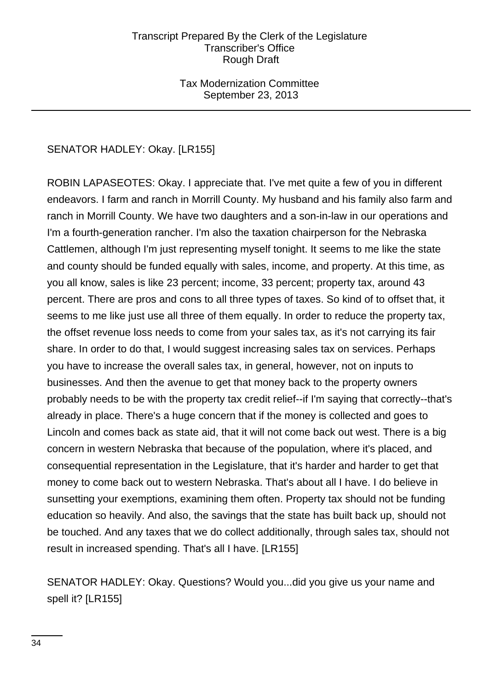# Tax Modernization Committee September 23, 2013

# SENATOR HADLEY: Okay. [LR155]

ROBIN LAPASEOTES: Okay. I appreciate that. I've met quite a few of you in different endeavors. I farm and ranch in Morrill County. My husband and his family also farm and ranch in Morrill County. We have two daughters and a son-in-law in our operations and I'm a fourth-generation rancher. I'm also the taxation chairperson for the Nebraska Cattlemen, although I'm just representing myself tonight. It seems to me like the state and county should be funded equally with sales, income, and property. At this time, as you all know, sales is like 23 percent; income, 33 percent; property tax, around 43 percent. There are pros and cons to all three types of taxes. So kind of to offset that, it seems to me like just use all three of them equally. In order to reduce the property tax, the offset revenue loss needs to come from your sales tax, as it's not carrying its fair share. In order to do that, I would suggest increasing sales tax on services. Perhaps you have to increase the overall sales tax, in general, however, not on inputs to businesses. And then the avenue to get that money back to the property owners probably needs to be with the property tax credit relief--if I'm saying that correctly--that's already in place. There's a huge concern that if the money is collected and goes to Lincoln and comes back as state aid, that it will not come back out west. There is a big concern in western Nebraska that because of the population, where it's placed, and consequential representation in the Legislature, that it's harder and harder to get that money to come back out to western Nebraska. That's about all I have. I do believe in sunsetting your exemptions, examining them often. Property tax should not be funding education so heavily. And also, the savings that the state has built back up, should not be touched. And any taxes that we do collect additionally, through sales tax, should not result in increased spending. That's all I have. [LR155]

SENATOR HADLEY: Okay. Questions? Would you...did you give us your name and spell it? [LR155]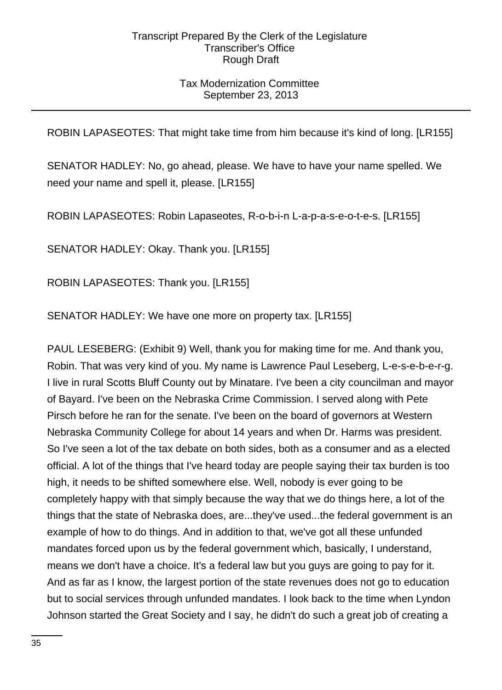# Tax Modernization Committee September 23, 2013

ROBIN LAPASEOTES: That might take time from him because it's kind of long. [LR155]

SENATOR HADLEY: No, go ahead, please. We have to have your name spelled. We need your name and spell it, please. [LR155]

ROBIN LAPASEOTES: Robin Lapaseotes, R-o-b-i-n L-a-p-a-s-e-o-t-e-s. [LR155]

SENATOR HADLEY: Okay. Thank you. [LR155]

ROBIN LAPASEOTES: Thank you. [LR155]

SENATOR HADLEY: We have one more on property tax. [LR155]

PAUL LESEBERG: (Exhibit 9) Well, thank you for making time for me. And thank you, Robin. That was very kind of you. My name is Lawrence Paul Leseberg, L-e-s-e-b-e-r-g. I live in rural Scotts Bluff County out by Minatare. I've been a city councilman and mayor of Bayard. I've been on the Nebraska Crime Commission. I served along with Pete Pirsch before he ran for the senate. I've been on the board of governors at Western Nebraska Community College for about 14 years and when Dr. Harms was president. So I've seen a lot of the tax debate on both sides, both as a consumer and as a elected official. A lot of the things that I've heard today are people saying their tax burden is too high, it needs to be shifted somewhere else. Well, nobody is ever going to be completely happy with that simply because the way that we do things here, a lot of the things that the state of Nebraska does, are...they've used...the federal government is an example of how to do things. And in addition to that, we've got all these unfunded mandates forced upon us by the federal government which, basically, I understand, means we don't have a choice. It's a federal law but you guys are going to pay for it. And as far as I know, the largest portion of the state revenues does not go to education but to social services through unfunded mandates. I look back to the time when Lyndon Johnson started the Great Society and I say, he didn't do such a great job of creating a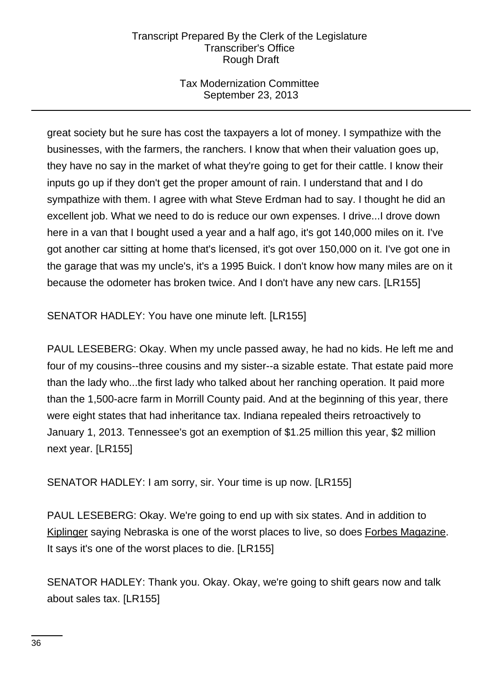# Tax Modernization Committee September 23, 2013

great society but he sure has cost the taxpayers a lot of money. I sympathize with the businesses, with the farmers, the ranchers. I know that when their valuation goes up, they have no say in the market of what they're going to get for their cattle. I know their inputs go up if they don't get the proper amount of rain. I understand that and I do sympathize with them. I agree with what Steve Erdman had to say. I thought he did an excellent job. What we need to do is reduce our own expenses. I drive...I drove down here in a van that I bought used a year and a half ago, it's got 140,000 miles on it. I've got another car sitting at home that's licensed, it's got over 150,000 on it. I've got one in the garage that was my uncle's, it's a 1995 Buick. I don't know how many miles are on it because the odometer has broken twice. And I don't have any new cars. [LR155]

SENATOR HADLEY: You have one minute left. [LR155]

PAUL LESEBERG: Okay. When my uncle passed away, he had no kids. He left me and four of my cousins--three cousins and my sister--a sizable estate. That estate paid more than the lady who...the first lady who talked about her ranching operation. It paid more than the 1,500-acre farm in Morrill County paid. And at the beginning of this year, there were eight states that had inheritance tax. Indiana repealed theirs retroactively to January 1, 2013. Tennessee's got an exemption of \$1.25 million this year, \$2 million next year. [LR155]

SENATOR HADLEY: I am sorry, sir. Your time is up now. [LR155]

PAUL LESEBERG: Okay. We're going to end up with six states. And in addition to Kiplinger saying Nebraska is one of the worst places to live, so does Forbes Magazine. It says it's one of the worst places to die. [LR155]

SENATOR HADLEY: Thank you. Okay. Okay, we're going to shift gears now and talk about sales tax. [LR155]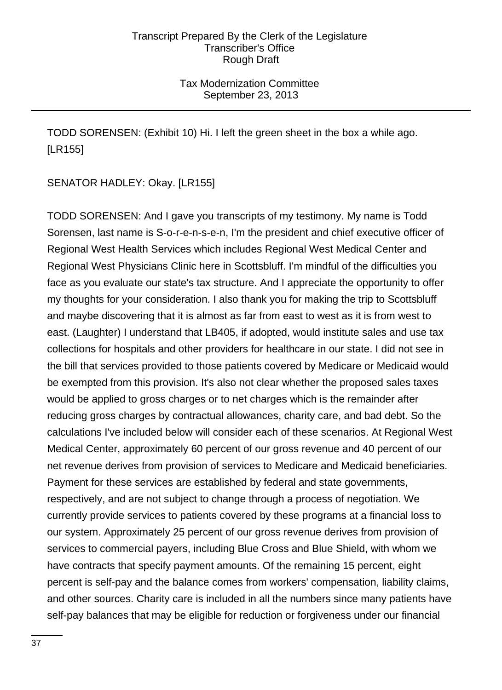# Tax Modernization Committee September 23, 2013

TODD SORENSEN: (Exhibit 10) Hi. I left the green sheet in the box a while ago. [LR155]

SENATOR HADLEY: Okay. [LR155]

TODD SORENSEN: And I gave you transcripts of my testimony. My name is Todd Sorensen, last name is S-o-r-e-n-s-e-n, I'm the president and chief executive officer of Regional West Health Services which includes Regional West Medical Center and Regional West Physicians Clinic here in Scottsbluff. I'm mindful of the difficulties you face as you evaluate our state's tax structure. And I appreciate the opportunity to offer my thoughts for your consideration. I also thank you for making the trip to Scottsbluff and maybe discovering that it is almost as far from east to west as it is from west to east. (Laughter) I understand that LB405, if adopted, would institute sales and use tax collections for hospitals and other providers for healthcare in our state. I did not see in the bill that services provided to those patients covered by Medicare or Medicaid would be exempted from this provision. It's also not clear whether the proposed sales taxes would be applied to gross charges or to net charges which is the remainder after reducing gross charges by contractual allowances, charity care, and bad debt. So the calculations I've included below will consider each of these scenarios. At Regional West Medical Center, approximately 60 percent of our gross revenue and 40 percent of our net revenue derives from provision of services to Medicare and Medicaid beneficiaries. Payment for these services are established by federal and state governments, respectively, and are not subject to change through a process of negotiation. We currently provide services to patients covered by these programs at a financial loss to our system. Approximately 25 percent of our gross revenue derives from provision of services to commercial payers, including Blue Cross and Blue Shield, with whom we have contracts that specify payment amounts. Of the remaining 15 percent, eight percent is self-pay and the balance comes from workers' compensation, liability claims, and other sources. Charity care is included in all the numbers since many patients have self-pay balances that may be eligible for reduction or forgiveness under our financial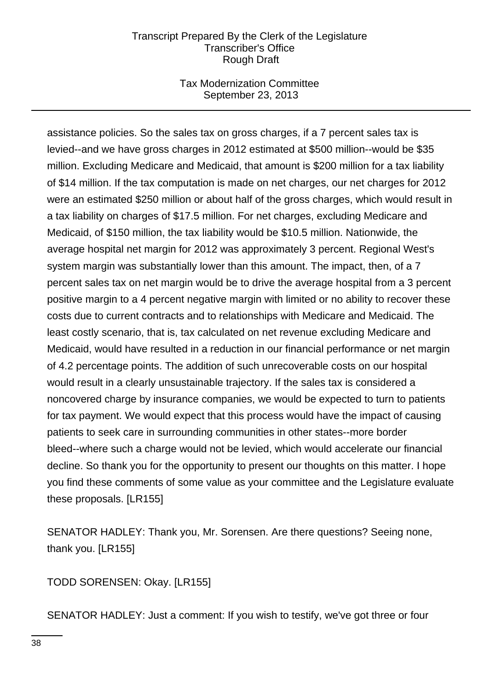# Tax Modernization Committee September 23, 2013

assistance policies. So the sales tax on gross charges, if a 7 percent sales tax is levied--and we have gross charges in 2012 estimated at \$500 million--would be \$35 million. Excluding Medicare and Medicaid, that amount is \$200 million for a tax liability of \$14 million. If the tax computation is made on net charges, our net charges for 2012 were an estimated \$250 million or about half of the gross charges, which would result in a tax liability on charges of \$17.5 million. For net charges, excluding Medicare and Medicaid, of \$150 million, the tax liability would be \$10.5 million. Nationwide, the average hospital net margin for 2012 was approximately 3 percent. Regional West's system margin was substantially lower than this amount. The impact, then, of a 7 percent sales tax on net margin would be to drive the average hospital from a 3 percent positive margin to a 4 percent negative margin with limited or no ability to recover these costs due to current contracts and to relationships with Medicare and Medicaid. The least costly scenario, that is, tax calculated on net revenue excluding Medicare and Medicaid, would have resulted in a reduction in our financial performance or net margin of 4.2 percentage points. The addition of such unrecoverable costs on our hospital would result in a clearly unsustainable trajectory. If the sales tax is considered a noncovered charge by insurance companies, we would be expected to turn to patients for tax payment. We would expect that this process would have the impact of causing patients to seek care in surrounding communities in other states--more border bleed--where such a charge would not be levied, which would accelerate our financial decline. So thank you for the opportunity to present our thoughts on this matter. I hope you find these comments of some value as your committee and the Legislature evaluate these proposals. [LR155]

SENATOR HADLEY: Thank you, Mr. Sorensen. Are there questions? Seeing none, thank you. [LR155]

TODD SORENSEN: Okay. [LR155]

SENATOR HADLEY: Just a comment: If you wish to testify, we've got three or four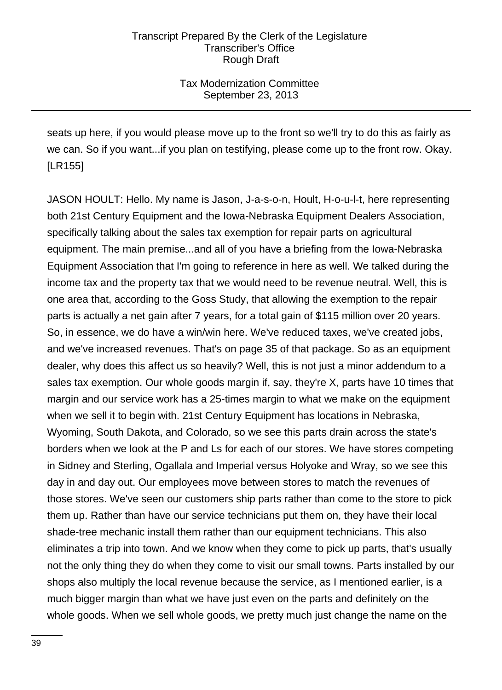# Tax Modernization Committee September 23, 2013

seats up here, if you would please move up to the front so we'll try to do this as fairly as we can. So if you want...if you plan on testifying, please come up to the front row. Okay. [LR155]

JASON HOULT: Hello. My name is Jason, J-a-s-o-n, Hoult, H-o-u-l-t, here representing both 21st Century Equipment and the Iowa-Nebraska Equipment Dealers Association, specifically talking about the sales tax exemption for repair parts on agricultural equipment. The main premise...and all of you have a briefing from the Iowa-Nebraska Equipment Association that I'm going to reference in here as well. We talked during the income tax and the property tax that we would need to be revenue neutral. Well, this is one area that, according to the Goss Study, that allowing the exemption to the repair parts is actually a net gain after 7 years, for a total gain of \$115 million over 20 years. So, in essence, we do have a win/win here. We've reduced taxes, we've created jobs, and we've increased revenues. That's on page 35 of that package. So as an equipment dealer, why does this affect us so heavily? Well, this is not just a minor addendum to a sales tax exemption. Our whole goods margin if, say, they're X, parts have 10 times that margin and our service work has a 25-times margin to what we make on the equipment when we sell it to begin with. 21st Century Equipment has locations in Nebraska, Wyoming, South Dakota, and Colorado, so we see this parts drain across the state's borders when we look at the P and Ls for each of our stores. We have stores competing in Sidney and Sterling, Ogallala and Imperial versus Holyoke and Wray, so we see this day in and day out. Our employees move between stores to match the revenues of those stores. We've seen our customers ship parts rather than come to the store to pick them up. Rather than have our service technicians put them on, they have their local shade-tree mechanic install them rather than our equipment technicians. This also eliminates a trip into town. And we know when they come to pick up parts, that's usually not the only thing they do when they come to visit our small towns. Parts installed by our shops also multiply the local revenue because the service, as I mentioned earlier, is a much bigger margin than what we have just even on the parts and definitely on the whole goods. When we sell whole goods, we pretty much just change the name on the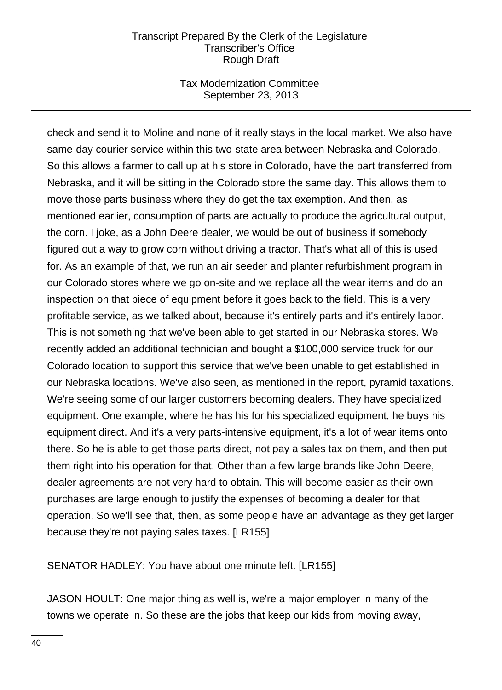### Tax Modernization Committee September 23, 2013

check and send it to Moline and none of it really stays in the local market. We also have same-day courier service within this two-state area between Nebraska and Colorado. So this allows a farmer to call up at his store in Colorado, have the part transferred from Nebraska, and it will be sitting in the Colorado store the same day. This allows them to move those parts business where they do get the tax exemption. And then, as mentioned earlier, consumption of parts are actually to produce the agricultural output, the corn. I joke, as a John Deere dealer, we would be out of business if somebody figured out a way to grow corn without driving a tractor. That's what all of this is used for. As an example of that, we run an air seeder and planter refurbishment program in our Colorado stores where we go on-site and we replace all the wear items and do an inspection on that piece of equipment before it goes back to the field. This is a very profitable service, as we talked about, because it's entirely parts and it's entirely labor. This is not something that we've been able to get started in our Nebraska stores. We recently added an additional technician and bought a \$100,000 service truck for our Colorado location to support this service that we've been unable to get established in our Nebraska locations. We've also seen, as mentioned in the report, pyramid taxations. We're seeing some of our larger customers becoming dealers. They have specialized equipment. One example, where he has his for his specialized equipment, he buys his equipment direct. And it's a very parts-intensive equipment, it's a lot of wear items onto there. So he is able to get those parts direct, not pay a sales tax on them, and then put them right into his operation for that. Other than a few large brands like John Deere, dealer agreements are not very hard to obtain. This will become easier as their own purchases are large enough to justify the expenses of becoming a dealer for that operation. So we'll see that, then, as some people have an advantage as they get larger because they're not paying sales taxes. [LR155]

SENATOR HADLEY: You have about one minute left. [LR155]

JASON HOULT: One major thing as well is, we're a major employer in many of the towns we operate in. So these are the jobs that keep our kids from moving away,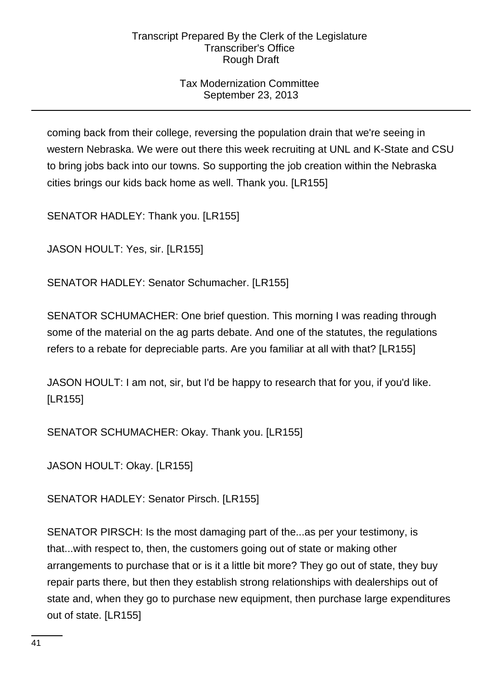# Tax Modernization Committee September 23, 2013

coming back from their college, reversing the population drain that we're seeing in western Nebraska. We were out there this week recruiting at UNL and K-State and CSU to bring jobs back into our towns. So supporting the job creation within the Nebraska cities brings our kids back home as well. Thank you. [LR155]

SENATOR HADLEY: Thank you. [LR155]

JASON HOULT: Yes, sir. [LR155]

SENATOR HADLEY: Senator Schumacher. [LR155]

SENATOR SCHUMACHER: One brief question. This morning I was reading through some of the material on the ag parts debate. And one of the statutes, the regulations refers to a rebate for depreciable parts. Are you familiar at all with that? [LR155]

JASON HOULT: I am not, sir, but I'd be happy to research that for you, if you'd like. [LR155]

SENATOR SCHUMACHER: Okay. Thank you. [LR155]

JASON HOULT: Okay. [LR155]

SENATOR HADLEY: Senator Pirsch. [LR155]

SENATOR PIRSCH: Is the most damaging part of the...as per your testimony, is that...with respect to, then, the customers going out of state or making other arrangements to purchase that or is it a little bit more? They go out of state, they buy repair parts there, but then they establish strong relationships with dealerships out of state and, when they go to purchase new equipment, then purchase large expenditures out of state. [LR155]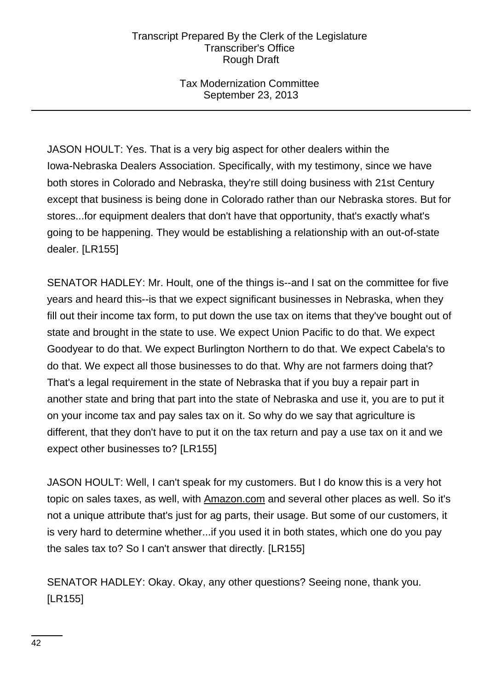Tax Modernization Committee September 23, 2013

JASON HOULT: Yes. That is a very big aspect for other dealers within the Iowa-Nebraska Dealers Association. Specifically, with my testimony, since we have both stores in Colorado and Nebraska, they're still doing business with 21st Century except that business is being done in Colorado rather than our Nebraska stores. But for stores...for equipment dealers that don't have that opportunity, that's exactly what's going to be happening. They would be establishing a relationship with an out-of-state dealer. [LR155]

SENATOR HADLEY: Mr. Hoult, one of the things is--and I sat on the committee for five years and heard this--is that we expect significant businesses in Nebraska, when they fill out their income tax form, to put down the use tax on items that they've bought out of state and brought in the state to use. We expect Union Pacific to do that. We expect Goodyear to do that. We expect Burlington Northern to do that. We expect Cabela's to do that. We expect all those businesses to do that. Why are not farmers doing that? That's a legal requirement in the state of Nebraska that if you buy a repair part in another state and bring that part into the state of Nebraska and use it, you are to put it on your income tax and pay sales tax on it. So why do we say that agriculture is different, that they don't have to put it on the tax return and pay a use tax on it and we expect other businesses to? [LR155]

JASON HOULT: Well, I can't speak for my customers. But I do know this is a very hot topic on sales taxes, as well, with Amazon.com and several other places as well. So it's not a unique attribute that's just for ag parts, their usage. But some of our customers, it is very hard to determine whether...if you used it in both states, which one do you pay the sales tax to? So I can't answer that directly. [LR155]

SENATOR HADLEY: Okay. Okay, any other questions? Seeing none, thank you. [LR155]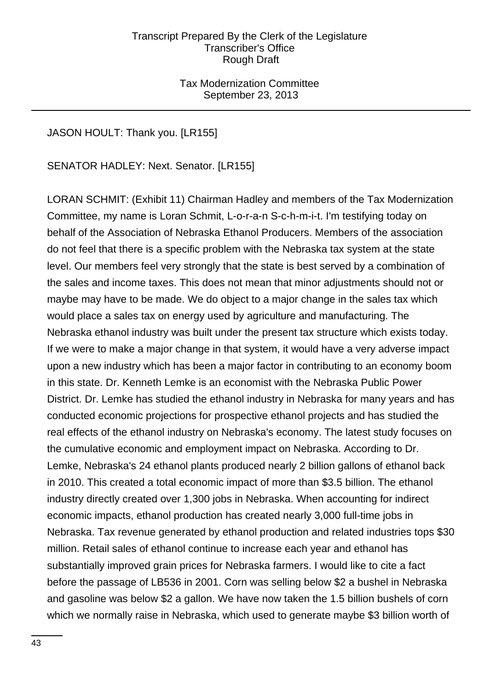Tax Modernization Committee September 23, 2013

# JASON HOULT: Thank you. [LR155]

SENATOR HADLEY: Next. Senator. [LR155]

LORAN SCHMIT: (Exhibit 11) Chairman Hadley and members of the Tax Modernization Committee, my name is Loran Schmit, L-o-r-a-n S-c-h-m-i-t. I'm testifying today on behalf of the Association of Nebraska Ethanol Producers. Members of the association do not feel that there is a specific problem with the Nebraska tax system at the state level. Our members feel very strongly that the state is best served by a combination of the sales and income taxes. This does not mean that minor adjustments should not or maybe may have to be made. We do object to a major change in the sales tax which would place a sales tax on energy used by agriculture and manufacturing. The Nebraska ethanol industry was built under the present tax structure which exists today. If we were to make a major change in that system, it would have a very adverse impact upon a new industry which has been a major factor in contributing to an economy boom in this state. Dr. Kenneth Lemke is an economist with the Nebraska Public Power District. Dr. Lemke has studied the ethanol industry in Nebraska for many years and has conducted economic projections for prospective ethanol projects and has studied the real effects of the ethanol industry on Nebraska's economy. The latest study focuses on the cumulative economic and employment impact on Nebraska. According to Dr. Lemke, Nebraska's 24 ethanol plants produced nearly 2 billion gallons of ethanol back in 2010. This created a total economic impact of more than \$3.5 billion. The ethanol industry directly created over 1,300 jobs in Nebraska. When accounting for indirect economic impacts, ethanol production has created nearly 3,000 full-time jobs in Nebraska. Tax revenue generated by ethanol production and related industries tops \$30 million. Retail sales of ethanol continue to increase each year and ethanol has substantially improved grain prices for Nebraska farmers. I would like to cite a fact before the passage of LB536 in 2001. Corn was selling below \$2 a bushel in Nebraska and gasoline was below \$2 a gallon. We have now taken the 1.5 billion bushels of corn which we normally raise in Nebraska, which used to generate maybe \$3 billion worth of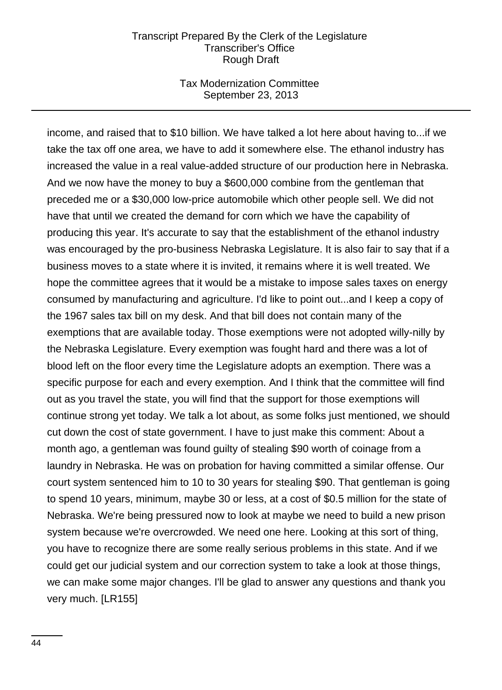#### Tax Modernization Committee September 23, 2013

income, and raised that to \$10 billion. We have talked a lot here about having to...if we take the tax off one area, we have to add it somewhere else. The ethanol industry has increased the value in a real value-added structure of our production here in Nebraska. And we now have the money to buy a \$600,000 combine from the gentleman that preceded me or a \$30,000 low-price automobile which other people sell. We did not have that until we created the demand for corn which we have the capability of producing this year. It's accurate to say that the establishment of the ethanol industry was encouraged by the pro-business Nebraska Legislature. It is also fair to say that if a business moves to a state where it is invited, it remains where it is well treated. We hope the committee agrees that it would be a mistake to impose sales taxes on energy consumed by manufacturing and agriculture. I'd like to point out...and I keep a copy of the 1967 sales tax bill on my desk. And that bill does not contain many of the exemptions that are available today. Those exemptions were not adopted willy-nilly by the Nebraska Legislature. Every exemption was fought hard and there was a lot of blood left on the floor every time the Legislature adopts an exemption. There was a specific purpose for each and every exemption. And I think that the committee will find out as you travel the state, you will find that the support for those exemptions will continue strong yet today. We talk a lot about, as some folks just mentioned, we should cut down the cost of state government. I have to just make this comment: About a month ago, a gentleman was found guilty of stealing \$90 worth of coinage from a laundry in Nebraska. He was on probation for having committed a similar offense. Our court system sentenced him to 10 to 30 years for stealing \$90. That gentleman is going to spend 10 years, minimum, maybe 30 or less, at a cost of \$0.5 million for the state of Nebraska. We're being pressured now to look at maybe we need to build a new prison system because we're overcrowded. We need one here. Looking at this sort of thing, you have to recognize there are some really serious problems in this state. And if we could get our judicial system and our correction system to take a look at those things, we can make some major changes. I'll be glad to answer any questions and thank you very much. [LR155]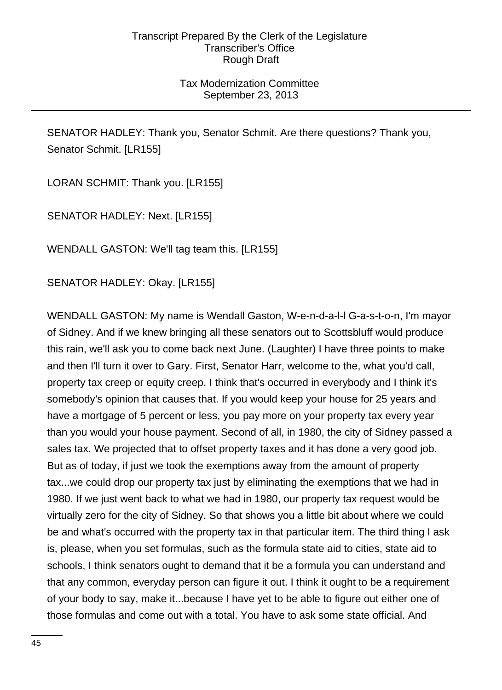# Tax Modernization Committee September 23, 2013

SENATOR HADLEY: Thank you, Senator Schmit. Are there questions? Thank you, Senator Schmit. [LR155]

LORAN SCHMIT: Thank you. [LR155]

SENATOR HADLEY: Next. [LR155]

WENDALL GASTON: We'll tag team this. [LR155]

SENATOR HADLEY: Okay. [LR155]

WENDALL GASTON: My name is Wendall Gaston, W-e-n-d-a-l-l G-a-s-t-o-n, I'm mayor of Sidney. And if we knew bringing all these senators out to Scottsbluff would produce this rain, we'll ask you to come back next June. (Laughter) I have three points to make and then I'll turn it over to Gary. First, Senator Harr, welcome to the, what you'd call, property tax creep or equity creep. I think that's occurred in everybody and I think it's somebody's opinion that causes that. If you would keep your house for 25 years and have a mortgage of 5 percent or less, you pay more on your property tax every year than you would your house payment. Second of all, in 1980, the city of Sidney passed a sales tax. We projected that to offset property taxes and it has done a very good job. But as of today, if just we took the exemptions away from the amount of property tax...we could drop our property tax just by eliminating the exemptions that we had in 1980. If we just went back to what we had in 1980, our property tax request would be virtually zero for the city of Sidney. So that shows you a little bit about where we could be and what's occurred with the property tax in that particular item. The third thing I ask is, please, when you set formulas, such as the formula state aid to cities, state aid to schools, I think senators ought to demand that it be a formula you can understand and that any common, everyday person can figure it out. I think it ought to be a requirement of your body to say, make it...because I have yet to be able to figure out either one of those formulas and come out with a total. You have to ask some state official. And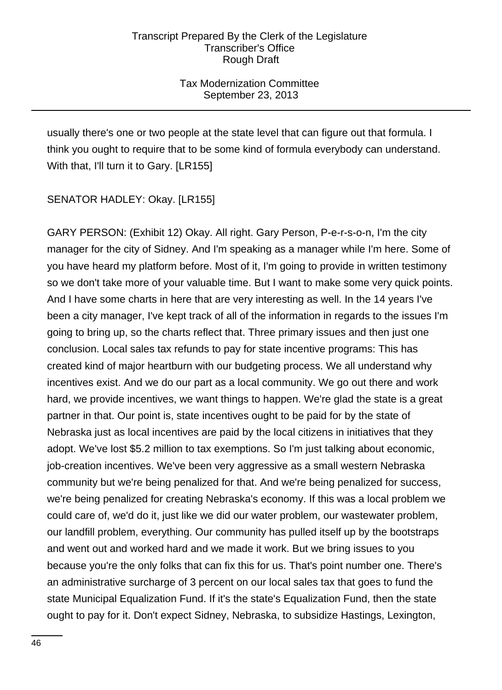Tax Modernization Committee September 23, 2013

usually there's one or two people at the state level that can figure out that formula. I think you ought to require that to be some kind of formula everybody can understand. With that, I'll turn it to Gary. [LR155]

SENATOR HADLEY: Okay. [LR155]

GARY PERSON: (Exhibit 12) Okay. All right. Gary Person, P-e-r-s-o-n, I'm the city manager for the city of Sidney. And I'm speaking as a manager while I'm here. Some of you have heard my platform before. Most of it, I'm going to provide in written testimony so we don't take more of your valuable time. But I want to make some very quick points. And I have some charts in here that are very interesting as well. In the 14 years I've been a city manager, I've kept track of all of the information in regards to the issues I'm going to bring up, so the charts reflect that. Three primary issues and then just one conclusion. Local sales tax refunds to pay for state incentive programs: This has created kind of major heartburn with our budgeting process. We all understand why incentives exist. And we do our part as a local community. We go out there and work hard, we provide incentives, we want things to happen. We're glad the state is a great partner in that. Our point is, state incentives ought to be paid for by the state of Nebraska just as local incentives are paid by the local citizens in initiatives that they adopt. We've lost \$5.2 million to tax exemptions. So I'm just talking about economic, job-creation incentives. We've been very aggressive as a small western Nebraska community but we're being penalized for that. And we're being penalized for success, we're being penalized for creating Nebraska's economy. If this was a local problem we could care of, we'd do it, just like we did our water problem, our wastewater problem, our landfill problem, everything. Our community has pulled itself up by the bootstraps and went out and worked hard and we made it work. But we bring issues to you because you're the only folks that can fix this for us. That's point number one. There's an administrative surcharge of 3 percent on our local sales tax that goes to fund the state Municipal Equalization Fund. If it's the state's Equalization Fund, then the state ought to pay for it. Don't expect Sidney, Nebraska, to subsidize Hastings, Lexington,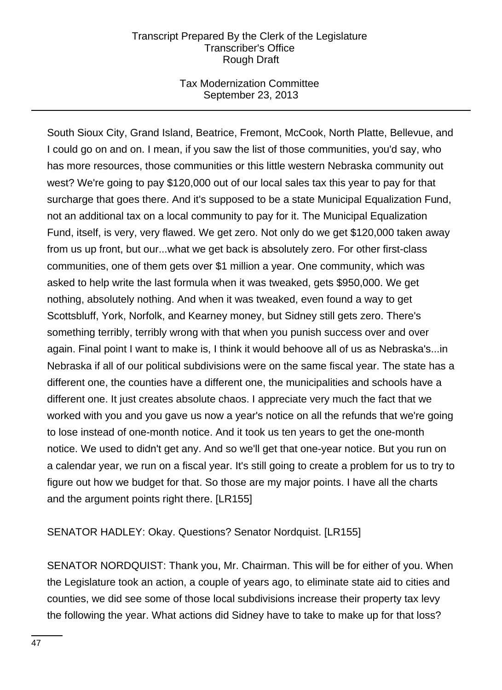## Tax Modernization Committee September 23, 2013

South Sioux City, Grand Island, Beatrice, Fremont, McCook, North Platte, Bellevue, and I could go on and on. I mean, if you saw the list of those communities, you'd say, who has more resources, those communities or this little western Nebraska community out west? We're going to pay \$120,000 out of our local sales tax this year to pay for that surcharge that goes there. And it's supposed to be a state Municipal Equalization Fund, not an additional tax on a local community to pay for it. The Municipal Equalization Fund, itself, is very, very flawed. We get zero. Not only do we get \$120,000 taken away from us up front, but our...what we get back is absolutely zero. For other first-class communities, one of them gets over \$1 million a year. One community, which was asked to help write the last formula when it was tweaked, gets \$950,000. We get nothing, absolutely nothing. And when it was tweaked, even found a way to get Scottsbluff, York, Norfolk, and Kearney money, but Sidney still gets zero. There's something terribly, terribly wrong with that when you punish success over and over again. Final point I want to make is, I think it would behoove all of us as Nebraska's...in Nebraska if all of our political subdivisions were on the same fiscal year. The state has a different one, the counties have a different one, the municipalities and schools have a different one. It just creates absolute chaos. I appreciate very much the fact that we worked with you and you gave us now a year's notice on all the refunds that we're going to lose instead of one-month notice. And it took us ten years to get the one-month notice. We used to didn't get any. And so we'll get that one-year notice. But you run on a calendar year, we run on a fiscal year. It's still going to create a problem for us to try to figure out how we budget for that. So those are my major points. I have all the charts and the argument points right there. [LR155]

SENATOR HADLEY: Okay. Questions? Senator Nordquist. [LR155]

SENATOR NORDQUIST: Thank you, Mr. Chairman. This will be for either of you. When the Legislature took an action, a couple of years ago, to eliminate state aid to cities and counties, we did see some of those local subdivisions increase their property tax levy the following the year. What actions did Sidney have to take to make up for that loss?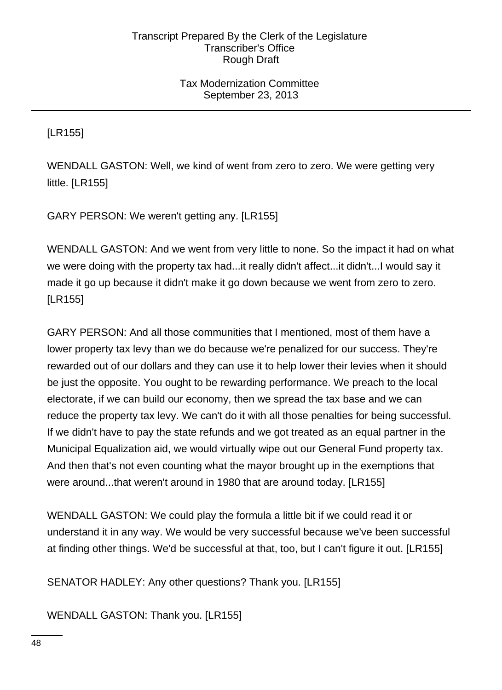# Tax Modernization Committee September 23, 2013

[LR155]

WENDALL GASTON: Well, we kind of went from zero to zero. We were getting very little. [LR155]

GARY PERSON: We weren't getting any. [LR155]

WENDALL GASTON: And we went from very little to none. So the impact it had on what we were doing with the property tax had...it really didn't affect...it didn't...I would say it made it go up because it didn't make it go down because we went from zero to zero. [LR155]

GARY PERSON: And all those communities that I mentioned, most of them have a lower property tax levy than we do because we're penalized for our success. They're rewarded out of our dollars and they can use it to help lower their levies when it should be just the opposite. You ought to be rewarding performance. We preach to the local electorate, if we can build our economy, then we spread the tax base and we can reduce the property tax levy. We can't do it with all those penalties for being successful. If we didn't have to pay the state refunds and we got treated as an equal partner in the Municipal Equalization aid, we would virtually wipe out our General Fund property tax. And then that's not even counting what the mayor brought up in the exemptions that were around...that weren't around in 1980 that are around today. [LR155]

WENDALL GASTON: We could play the formula a little bit if we could read it or understand it in any way. We would be very successful because we've been successful at finding other things. We'd be successful at that, too, but I can't figure it out. [LR155]

SENATOR HADLEY: Any other questions? Thank you. [LR155]

WENDALL GASTON: Thank you. [LR155]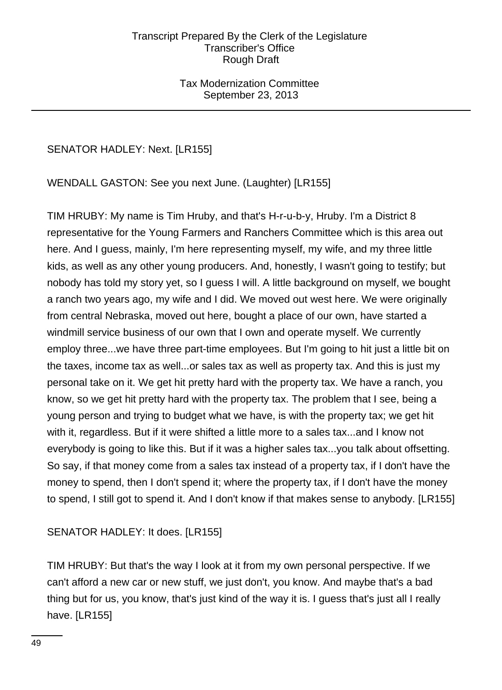# Tax Modernization Committee September 23, 2013

# SENATOR HADLEY: Next. [LR155]

WENDALL GASTON: See you next June. (Laughter) [LR155]

TIM HRUBY: My name is Tim Hruby, and that's H-r-u-b-y, Hruby. I'm a District 8 representative for the Young Farmers and Ranchers Committee which is this area out here. And I guess, mainly, I'm here representing myself, my wife, and my three little kids, as well as any other young producers. And, honestly, I wasn't going to testify; but nobody has told my story yet, so I guess I will. A little background on myself, we bought a ranch two years ago, my wife and I did. We moved out west here. We were originally from central Nebraska, moved out here, bought a place of our own, have started a windmill service business of our own that I own and operate myself. We currently employ three...we have three part-time employees. But I'm going to hit just a little bit on the taxes, income tax as well...or sales tax as well as property tax. And this is just my personal take on it. We get hit pretty hard with the property tax. We have a ranch, you know, so we get hit pretty hard with the property tax. The problem that I see, being a young person and trying to budget what we have, is with the property tax; we get hit with it, regardless. But if it were shifted a little more to a sales tax...and I know not everybody is going to like this. But if it was a higher sales tax...you talk about offsetting. So say, if that money come from a sales tax instead of a property tax, if I don't have the money to spend, then I don't spend it; where the property tax, if I don't have the money to spend, I still got to spend it. And I don't know if that makes sense to anybody. [LR155]

SENATOR HADLEY: It does. [LR155]

TIM HRUBY: But that's the way I look at it from my own personal perspective. If we can't afford a new car or new stuff, we just don't, you know. And maybe that's a bad thing but for us, you know, that's just kind of the way it is. I guess that's just all I really have. [LR155]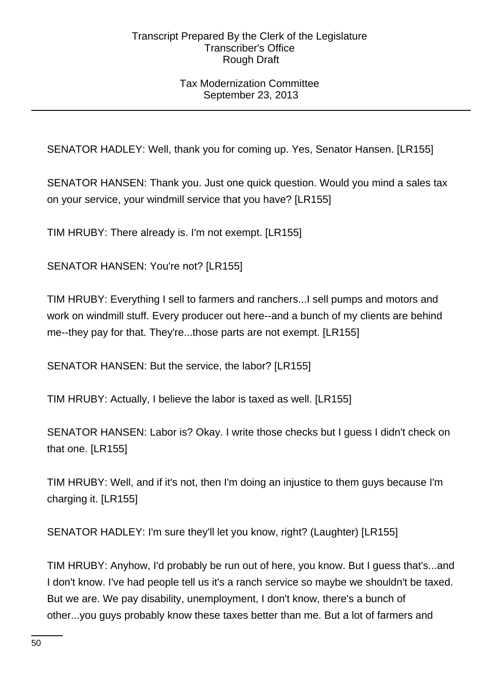# Tax Modernization Committee September 23, 2013

SENATOR HADLEY: Well, thank you for coming up. Yes, Senator Hansen. [LR155]

SENATOR HANSEN: Thank you. Just one quick question. Would you mind a sales tax on your service, your windmill service that you have? [LR155]

TIM HRUBY: There already is. I'm not exempt. [LR155]

SENATOR HANSEN: You're not? [LR155]

TIM HRUBY: Everything I sell to farmers and ranchers...I sell pumps and motors and work on windmill stuff. Every producer out here--and a bunch of my clients are behind me--they pay for that. They're...those parts are not exempt. [LR155]

SENATOR HANSEN: But the service, the labor? [LR155]

TIM HRUBY: Actually, I believe the labor is taxed as well. [LR155]

SENATOR HANSEN: Labor is? Okay. I write those checks but I guess I didn't check on that one. [LR155]

TIM HRUBY: Well, and if it's not, then I'm doing an injustice to them guys because I'm charging it. [LR155]

SENATOR HADLEY: I'm sure they'll let you know, right? (Laughter) [LR155]

TIM HRUBY: Anyhow, I'd probably be run out of here, you know. But I guess that's...and I don't know. I've had people tell us it's a ranch service so maybe we shouldn't be taxed. But we are. We pay disability, unemployment, I don't know, there's a bunch of other...you guys probably know these taxes better than me. But a lot of farmers and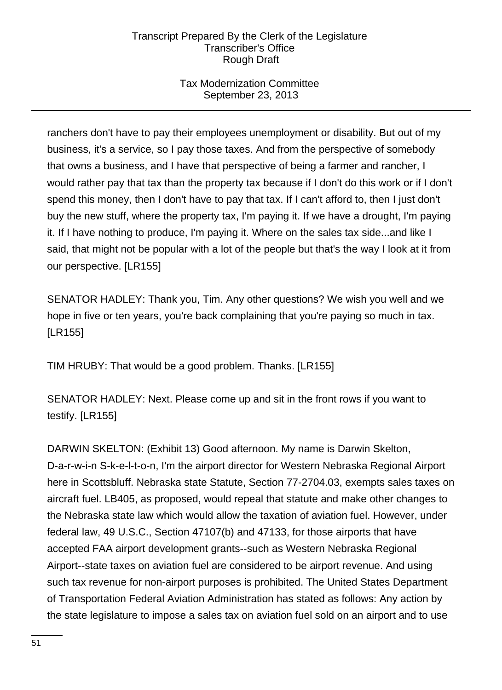# Tax Modernization Committee September 23, 2013

ranchers don't have to pay their employees unemployment or disability. But out of my business, it's a service, so I pay those taxes. And from the perspective of somebody that owns a business, and I have that perspective of being a farmer and rancher, I would rather pay that tax than the property tax because if I don't do this work or if I don't spend this money, then I don't have to pay that tax. If I can't afford to, then I just don't buy the new stuff, where the property tax, I'm paying it. If we have a drought, I'm paying it. If I have nothing to produce, I'm paying it. Where on the sales tax side...and like I said, that might not be popular with a lot of the people but that's the way I look at it from our perspective. [LR155]

SENATOR HADLEY: Thank you, Tim. Any other questions? We wish you well and we hope in five or ten years, you're back complaining that you're paying so much in tax. [LR155]

TIM HRUBY: That would be a good problem. Thanks. [LR155]

SENATOR HADLEY: Next. Please come up and sit in the front rows if you want to testify. [LR155]

DARWIN SKELTON: (Exhibit 13) Good afternoon. My name is Darwin Skelton, D-a-r-w-i-n S-k-e-l-t-o-n, I'm the airport director for Western Nebraska Regional Airport here in Scottsbluff. Nebraska state Statute, Section 77-2704.03, exempts sales taxes on aircraft fuel. LB405, as proposed, would repeal that statute and make other changes to the Nebraska state law which would allow the taxation of aviation fuel. However, under federal law, 49 U.S.C., Section 47107(b) and 47133, for those airports that have accepted FAA airport development grants--such as Western Nebraska Regional Airport--state taxes on aviation fuel are considered to be airport revenue. And using such tax revenue for non-airport purposes is prohibited. The United States Department of Transportation Federal Aviation Administration has stated as follows: Any action by the state legislature to impose a sales tax on aviation fuel sold on an airport and to use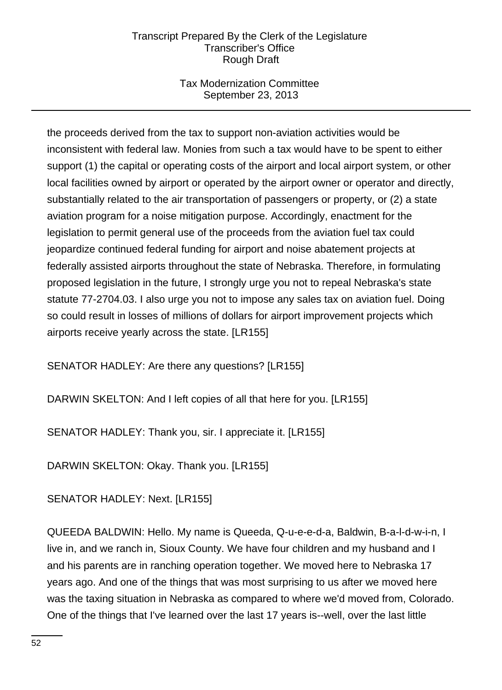# Tax Modernization Committee September 23, 2013

the proceeds derived from the tax to support non-aviation activities would be inconsistent with federal law. Monies from such a tax would have to be spent to either support (1) the capital or operating costs of the airport and local airport system, or other local facilities owned by airport or operated by the airport owner or operator and directly, substantially related to the air transportation of passengers or property, or (2) a state aviation program for a noise mitigation purpose. Accordingly, enactment for the legislation to permit general use of the proceeds from the aviation fuel tax could jeopardize continued federal funding for airport and noise abatement projects at federally assisted airports throughout the state of Nebraska. Therefore, in formulating proposed legislation in the future, I strongly urge you not to repeal Nebraska's state statute 77-2704.03. I also urge you not to impose any sales tax on aviation fuel. Doing so could result in losses of millions of dollars for airport improvement projects which airports receive yearly across the state. [LR155]

SENATOR HADLEY: Are there any questions? [LR155]

DARWIN SKELTON: And I left copies of all that here for you. [LR155]

SENATOR HADLEY: Thank you, sir. I appreciate it. [LR155]

DARWIN SKELTON: Okay. Thank you. [LR155]

SENATOR HADLEY: Next. [LR155]

QUEEDA BALDWIN: Hello. My name is Queeda, Q-u-e-e-d-a, Baldwin, B-a-l-d-w-i-n, I live in, and we ranch in, Sioux County. We have four children and my husband and I and his parents are in ranching operation together. We moved here to Nebraska 17 years ago. And one of the things that was most surprising to us after we moved here was the taxing situation in Nebraska as compared to where we'd moved from, Colorado. One of the things that I've learned over the last 17 years is--well, over the last little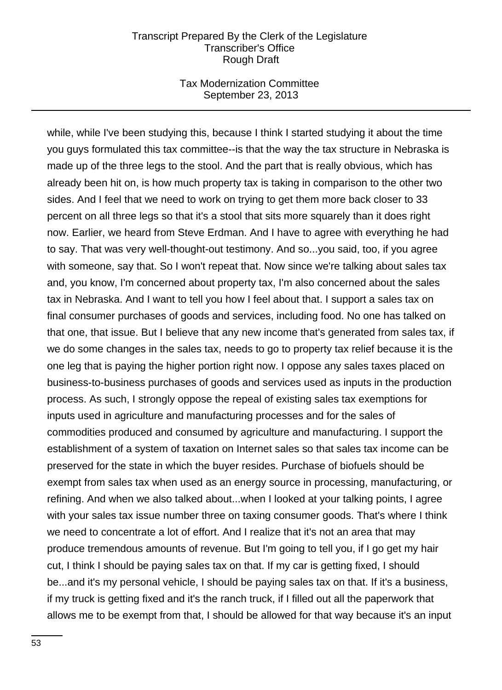### Tax Modernization Committee September 23, 2013

while, while I've been studying this, because I think I started studying it about the time you guys formulated this tax committee--is that the way the tax structure in Nebraska is made up of the three legs to the stool. And the part that is really obvious, which has already been hit on, is how much property tax is taking in comparison to the other two sides. And I feel that we need to work on trying to get them more back closer to 33 percent on all three legs so that it's a stool that sits more squarely than it does right now. Earlier, we heard from Steve Erdman. And I have to agree with everything he had to say. That was very well-thought-out testimony. And so...you said, too, if you agree with someone, say that. So I won't repeat that. Now since we're talking about sales tax and, you know, I'm concerned about property tax, I'm also concerned about the sales tax in Nebraska. And I want to tell you how I feel about that. I support a sales tax on final consumer purchases of goods and services, including food. No one has talked on that one, that issue. But I believe that any new income that's generated from sales tax, if we do some changes in the sales tax, needs to go to property tax relief because it is the one leg that is paying the higher portion right now. I oppose any sales taxes placed on business-to-business purchases of goods and services used as inputs in the production process. As such, I strongly oppose the repeal of existing sales tax exemptions for inputs used in agriculture and manufacturing processes and for the sales of commodities produced and consumed by agriculture and manufacturing. I support the establishment of a system of taxation on Internet sales so that sales tax income can be preserved for the state in which the buyer resides. Purchase of biofuels should be exempt from sales tax when used as an energy source in processing, manufacturing, or refining. And when we also talked about...when I looked at your talking points, I agree with your sales tax issue number three on taxing consumer goods. That's where I think we need to concentrate a lot of effort. And I realize that it's not an area that may produce tremendous amounts of revenue. But I'm going to tell you, if I go get my hair cut, I think I should be paying sales tax on that. If my car is getting fixed, I should be...and it's my personal vehicle, I should be paying sales tax on that. If it's a business, if my truck is getting fixed and it's the ranch truck, if I filled out all the paperwork that allows me to be exempt from that, I should be allowed for that way because it's an input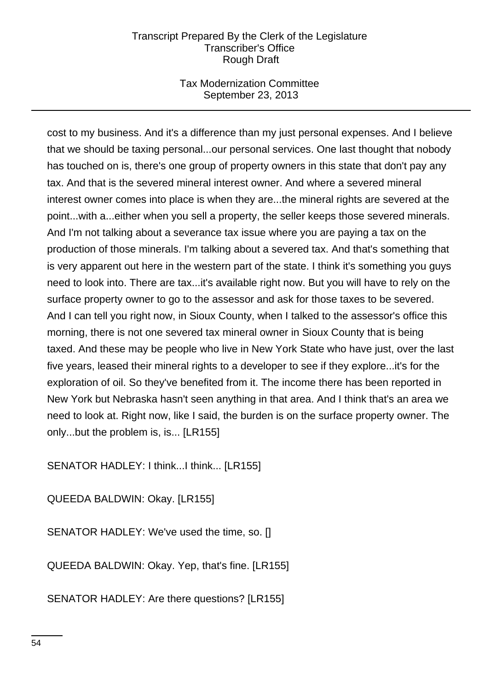# Tax Modernization Committee September 23, 2013

cost to my business. And it's a difference than my just personal expenses. And I believe that we should be taxing personal...our personal services. One last thought that nobody has touched on is, there's one group of property owners in this state that don't pay any tax. And that is the severed mineral interest owner. And where a severed mineral interest owner comes into place is when they are...the mineral rights are severed at the point...with a...either when you sell a property, the seller keeps those severed minerals. And I'm not talking about a severance tax issue where you are paying a tax on the production of those minerals. I'm talking about a severed tax. And that's something that is very apparent out here in the western part of the state. I think it's something you guys need to look into. There are tax...it's available right now. But you will have to rely on the surface property owner to go to the assessor and ask for those taxes to be severed. And I can tell you right now, in Sioux County, when I talked to the assessor's office this morning, there is not one severed tax mineral owner in Sioux County that is being taxed. And these may be people who live in New York State who have just, over the last five years, leased their mineral rights to a developer to see if they explore...it's for the exploration of oil. So they've benefited from it. The income there has been reported in New York but Nebraska hasn't seen anything in that area. And I think that's an area we need to look at. Right now, like I said, the burden is on the surface property owner. The only...but the problem is, is... [LR155]

SENATOR HADLEY: I think...I think... [LR155]

QUEEDA BALDWIN: Okay. [LR155]

SENATOR HADLEY: We've used the time, so. []

QUEEDA BALDWIN: Okay. Yep, that's fine. [LR155]

SENATOR HADLEY: Are there questions? [LR155]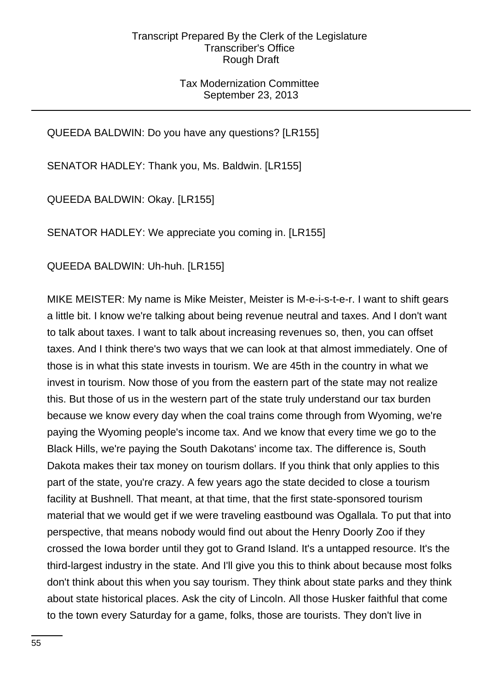# Tax Modernization Committee September 23, 2013

QUEEDA BALDWIN: Do you have any questions? [LR155]

SENATOR HADLEY: Thank you, Ms. Baldwin. [LR155]

QUEEDA BALDWIN: Okay. [LR155]

SENATOR HADLEY: We appreciate you coming in. [LR155]

QUEEDA BALDWIN: Uh-huh. [LR155]

MIKE MEISTER: My name is Mike Meister, Meister is M-e-i-s-t-e-r. I want to shift gears a little bit. I know we're talking about being revenue neutral and taxes. And I don't want to talk about taxes. I want to talk about increasing revenues so, then, you can offset taxes. And I think there's two ways that we can look at that almost immediately. One of those is in what this state invests in tourism. We are 45th in the country in what we invest in tourism. Now those of you from the eastern part of the state may not realize this. But those of us in the western part of the state truly understand our tax burden because we know every day when the coal trains come through from Wyoming, we're paying the Wyoming people's income tax. And we know that every time we go to the Black Hills, we're paying the South Dakotans' income tax. The difference is, South Dakota makes their tax money on tourism dollars. If you think that only applies to this part of the state, you're crazy. A few years ago the state decided to close a tourism facility at Bushnell. That meant, at that time, that the first state-sponsored tourism material that we would get if we were traveling eastbound was Ogallala. To put that into perspective, that means nobody would find out about the Henry Doorly Zoo if they crossed the Iowa border until they got to Grand Island. It's a untapped resource. It's the third-largest industry in the state. And I'll give you this to think about because most folks don't think about this when you say tourism. They think about state parks and they think about state historical places. Ask the city of Lincoln. All those Husker faithful that come to the town every Saturday for a game, folks, those are tourists. They don't live in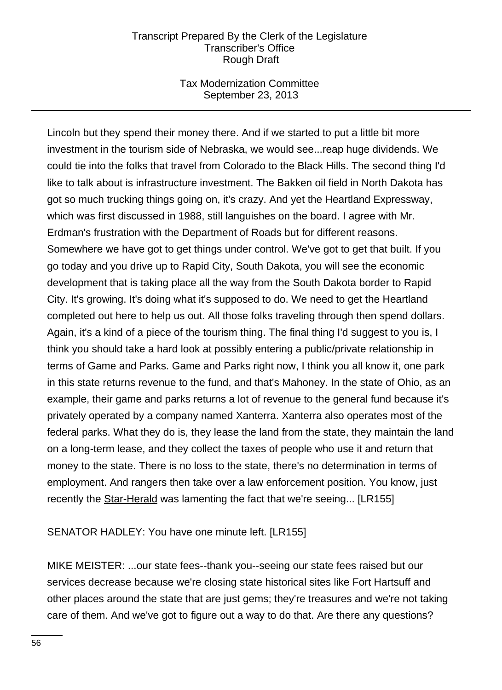# Tax Modernization Committee September 23, 2013

Lincoln but they spend their money there. And if we started to put a little bit more investment in the tourism side of Nebraska, we would see...reap huge dividends. We could tie into the folks that travel from Colorado to the Black Hills. The second thing I'd like to talk about is infrastructure investment. The Bakken oil field in North Dakota has got so much trucking things going on, it's crazy. And yet the Heartland Expressway, which was first discussed in 1988, still languishes on the board. I agree with Mr. Erdman's frustration with the Department of Roads but for different reasons. Somewhere we have got to get things under control. We've got to get that built. If you go today and you drive up to Rapid City, South Dakota, you will see the economic development that is taking place all the way from the South Dakota border to Rapid City. It's growing. It's doing what it's supposed to do. We need to get the Heartland completed out here to help us out. All those folks traveling through then spend dollars. Again, it's a kind of a piece of the tourism thing. The final thing I'd suggest to you is, I think you should take a hard look at possibly entering a public/private relationship in terms of Game and Parks. Game and Parks right now, I think you all know it, one park in this state returns revenue to the fund, and that's Mahoney. In the state of Ohio, as an example, their game and parks returns a lot of revenue to the general fund because it's privately operated by a company named Xanterra. Xanterra also operates most of the federal parks. What they do is, they lease the land from the state, they maintain the land on a long-term lease, and they collect the taxes of people who use it and return that money to the state. There is no loss to the state, there's no determination in terms of employment. And rangers then take over a law enforcement position. You know, just recently the Star-Herald was lamenting the fact that we're seeing... [LR155]

### SENATOR HADLEY: You have one minute left. [LR155]

MIKE MEISTER: ...our state fees--thank you--seeing our state fees raised but our services decrease because we're closing state historical sites like Fort Hartsuff and other places around the state that are just gems; they're treasures and we're not taking care of them. And we've got to figure out a way to do that. Are there any questions?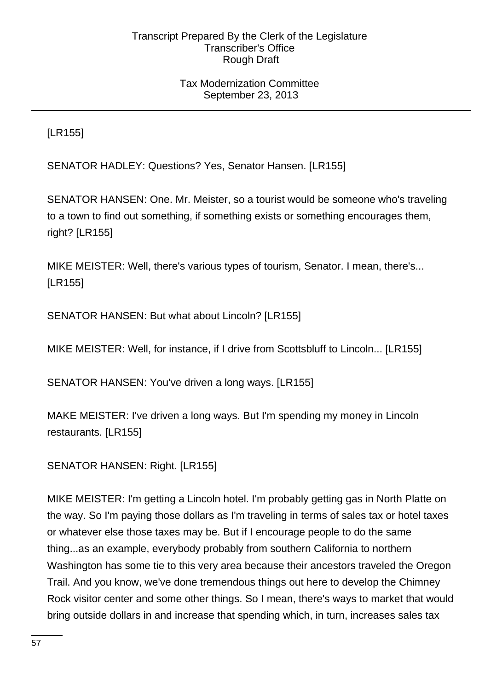# Tax Modernization Committee September 23, 2013

[LR155]

SENATOR HADLEY: Questions? Yes, Senator Hansen. [LR155]

SENATOR HANSEN: One. Mr. Meister, so a tourist would be someone who's traveling to a town to find out something, if something exists or something encourages them, right? [LR155]

MIKE MEISTER: Well, there's various types of tourism, Senator. I mean, there's... [LR155]

SENATOR HANSEN: But what about Lincoln? [LR155]

MIKE MEISTER: Well, for instance, if I drive from Scottsbluff to Lincoln... [LR155]

SENATOR HANSEN: You've driven a long ways. [LR155]

MAKE MEISTER: I've driven a long ways. But I'm spending my money in Lincoln restaurants. [LR155]

SENATOR HANSEN: Right. [LR155]

MIKE MEISTER: I'm getting a Lincoln hotel. I'm probably getting gas in North Platte on the way. So I'm paying those dollars as I'm traveling in terms of sales tax or hotel taxes or whatever else those taxes may be. But if I encourage people to do the same thing...as an example, everybody probably from southern California to northern Washington has some tie to this very area because their ancestors traveled the Oregon Trail. And you know, we've done tremendous things out here to develop the Chimney Rock visitor center and some other things. So I mean, there's ways to market that would bring outside dollars in and increase that spending which, in turn, increases sales tax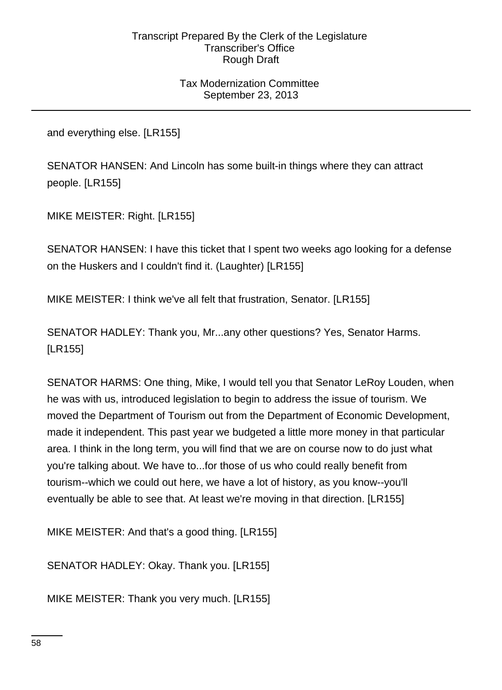# Tax Modernization Committee September 23, 2013

and everything else. [LR155]

SENATOR HANSEN: And Lincoln has some built-in things where they can attract people. [LR155]

MIKE MEISTER: Right. [LR155]

SENATOR HANSEN: I have this ticket that I spent two weeks ago looking for a defense on the Huskers and I couldn't find it. (Laughter) [LR155]

MIKE MEISTER: I think we've all felt that frustration, Senator. [LR155]

SENATOR HADLEY: Thank you, Mr...any other questions? Yes, Senator Harms. [LR155]

SENATOR HARMS: One thing, Mike, I would tell you that Senator LeRoy Louden, when he was with us, introduced legislation to begin to address the issue of tourism. We moved the Department of Tourism out from the Department of Economic Development, made it independent. This past year we budgeted a little more money in that particular area. I think in the long term, you will find that we are on course now to do just what you're talking about. We have to...for those of us who could really benefit from tourism--which we could out here, we have a lot of history, as you know--you'll eventually be able to see that. At least we're moving in that direction. [LR155]

MIKE MEISTER: And that's a good thing. [LR155]

SENATOR HADLEY: Okay. Thank you. [LR155]

MIKE MEISTER: Thank you very much. [LR155]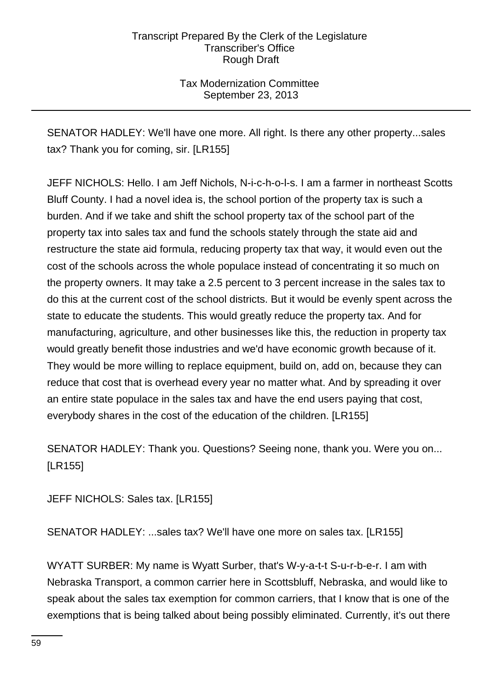Tax Modernization Committee September 23, 2013

SENATOR HADLEY: We'll have one more. All right. Is there any other property...sales tax? Thank you for coming, sir. [LR155]

JEFF NICHOLS: Hello. I am Jeff Nichols, N-i-c-h-o-l-s. I am a farmer in northeast Scotts Bluff County. I had a novel idea is, the school portion of the property tax is such a burden. And if we take and shift the school property tax of the school part of the property tax into sales tax and fund the schools stately through the state aid and restructure the state aid formula, reducing property tax that way, it would even out the cost of the schools across the whole populace instead of concentrating it so much on the property owners. It may take a 2.5 percent to 3 percent increase in the sales tax to do this at the current cost of the school districts. But it would be evenly spent across the state to educate the students. This would greatly reduce the property tax. And for manufacturing, agriculture, and other businesses like this, the reduction in property tax would greatly benefit those industries and we'd have economic growth because of it. They would be more willing to replace equipment, build on, add on, because they can reduce that cost that is overhead every year no matter what. And by spreading it over an entire state populace in the sales tax and have the end users paying that cost, everybody shares in the cost of the education of the children. [LR155]

SENATOR HADLEY: Thank you. Questions? Seeing none, thank you. Were you on... [LR155]

JEFF NICHOLS: Sales tax. [LR155]

SENATOR HADLEY: ...sales tax? We'll have one more on sales tax. [LR155]

WYATT SURBER: My name is Wyatt Surber, that's W-y-a-t-t S-u-r-b-e-r. I am with Nebraska Transport, a common carrier here in Scottsbluff, Nebraska, and would like to speak about the sales tax exemption for common carriers, that I know that is one of the exemptions that is being talked about being possibly eliminated. Currently, it's out there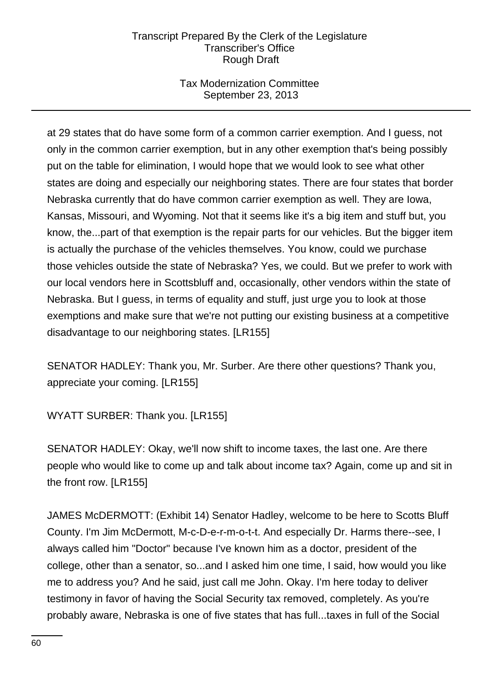# Tax Modernization Committee September 23, 2013

at 29 states that do have some form of a common carrier exemption. And I guess, not only in the common carrier exemption, but in any other exemption that's being possibly put on the table for elimination, I would hope that we would look to see what other states are doing and especially our neighboring states. There are four states that border Nebraska currently that do have common carrier exemption as well. They are Iowa, Kansas, Missouri, and Wyoming. Not that it seems like it's a big item and stuff but, you know, the...part of that exemption is the repair parts for our vehicles. But the bigger item is actually the purchase of the vehicles themselves. You know, could we purchase those vehicles outside the state of Nebraska? Yes, we could. But we prefer to work with our local vendors here in Scottsbluff and, occasionally, other vendors within the state of Nebraska. But I guess, in terms of equality and stuff, just urge you to look at those exemptions and make sure that we're not putting our existing business at a competitive disadvantage to our neighboring states. [LR155]

SENATOR HADLEY: Thank you, Mr. Surber. Are there other questions? Thank you, appreciate your coming. [LR155]

WYATT SURBER: Thank you. [LR155]

SENATOR HADLEY: Okay, we'll now shift to income taxes, the last one. Are there people who would like to come up and talk about income tax? Again, come up and sit in the front row. [LR155]

JAMES McDERMOTT: (Exhibit 14) Senator Hadley, welcome to be here to Scotts Bluff County. I'm Jim McDermott, M-c-D-e-r-m-o-t-t. And especially Dr. Harms there--see, I always called him "Doctor" because I've known him as a doctor, president of the college, other than a senator, so...and I asked him one time, I said, how would you like me to address you? And he said, just call me John. Okay. I'm here today to deliver testimony in favor of having the Social Security tax removed, completely. As you're probably aware, Nebraska is one of five states that has full...taxes in full of the Social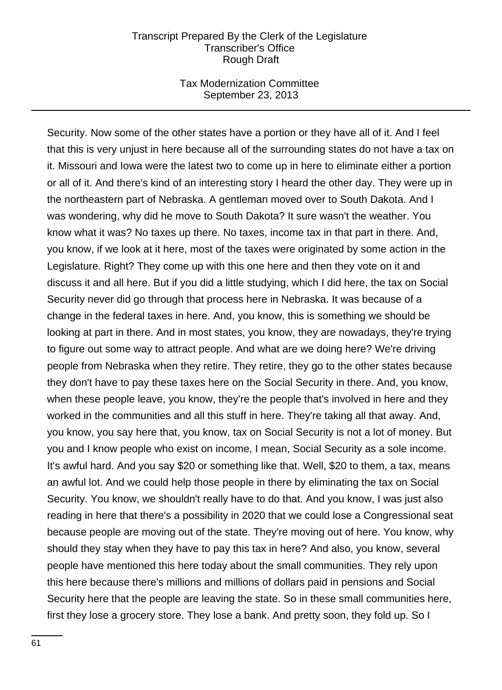### Tax Modernization Committee September 23, 2013

Security. Now some of the other states have a portion or they have all of it. And I feel that this is very unjust in here because all of the surrounding states do not have a tax on it. Missouri and Iowa were the latest two to come up in here to eliminate either a portion or all of it. And there's kind of an interesting story I heard the other day. They were up in the northeastern part of Nebraska. A gentleman moved over to South Dakota. And I was wondering, why did he move to South Dakota? It sure wasn't the weather. You know what it was? No taxes up there. No taxes, income tax in that part in there. And, you know, if we look at it here, most of the taxes were originated by some action in the Legislature. Right? They come up with this one here and then they vote on it and discuss it and all here. But if you did a little studying, which I did here, the tax on Social Security never did go through that process here in Nebraska. It was because of a change in the federal taxes in here. And, you know, this is something we should be looking at part in there. And in most states, you know, they are nowadays, they're trying to figure out some way to attract people. And what are we doing here? We're driving people from Nebraska when they retire. They retire, they go to the other states because they don't have to pay these taxes here on the Social Security in there. And, you know, when these people leave, you know, they're the people that's involved in here and they worked in the communities and all this stuff in here. They're taking all that away. And, you know, you say here that, you know, tax on Social Security is not a lot of money. But you and I know people who exist on income, I mean, Social Security as a sole income. It's awful hard. And you say \$20 or something like that. Well, \$20 to them, a tax, means an awful lot. And we could help those people in there by eliminating the tax on Social Security. You know, we shouldn't really have to do that. And you know, I was just also reading in here that there's a possibility in 2020 that we could lose a Congressional seat because people are moving out of the state. They're moving out of here. You know, why should they stay when they have to pay this tax in here? And also, you know, several people have mentioned this here today about the small communities. They rely upon this here because there's millions and millions of dollars paid in pensions and Social Security here that the people are leaving the state. So in these small communities here, first they lose a grocery store. They lose a bank. And pretty soon, they fold up. So I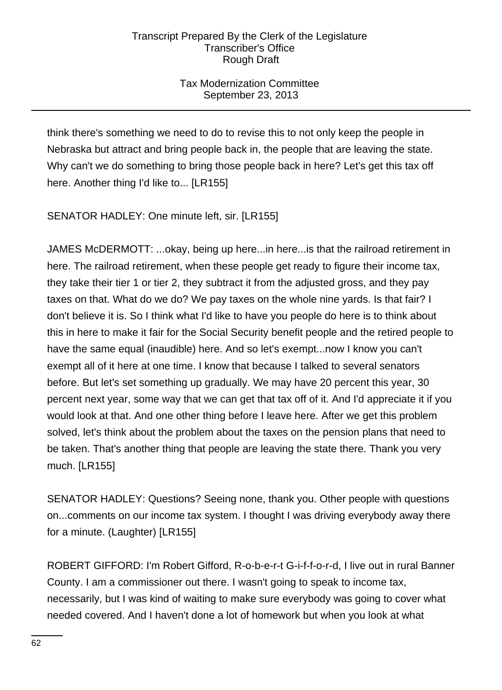# Tax Modernization Committee September 23, 2013

think there's something we need to do to revise this to not only keep the people in Nebraska but attract and bring people back in, the people that are leaving the state. Why can't we do something to bring those people back in here? Let's get this tax off here. Another thing I'd like to... [LR155]

SENATOR HADLEY: One minute left, sir. [LR155]

JAMES McDERMOTT: ...okay, being up here...in here...is that the railroad retirement in here. The railroad retirement, when these people get ready to figure their income tax, they take their tier 1 or tier 2, they subtract it from the adjusted gross, and they pay taxes on that. What do we do? We pay taxes on the whole nine yards. Is that fair? I don't believe it is. So I think what I'd like to have you people do here is to think about this in here to make it fair for the Social Security benefit people and the retired people to have the same equal (inaudible) here. And so let's exempt...now I know you can't exempt all of it here at one time. I know that because I talked to several senators before. But let's set something up gradually. We may have 20 percent this year, 30 percent next year, some way that we can get that tax off of it. And I'd appreciate it if you would look at that. And one other thing before I leave here. After we get this problem solved, let's think about the problem about the taxes on the pension plans that need to be taken. That's another thing that people are leaving the state there. Thank you very much. [LR155]

SENATOR HADLEY: Questions? Seeing none, thank you. Other people with questions on...comments on our income tax system. I thought I was driving everybody away there for a minute. (Laughter) [LR155]

ROBERT GIFFORD: I'm Robert Gifford, R-o-b-e-r-t G-i-f-f-o-r-d, I live out in rural Banner County. I am a commissioner out there. I wasn't going to speak to income tax, necessarily, but I was kind of waiting to make sure everybody was going to cover what needed covered. And I haven't done a lot of homework but when you look at what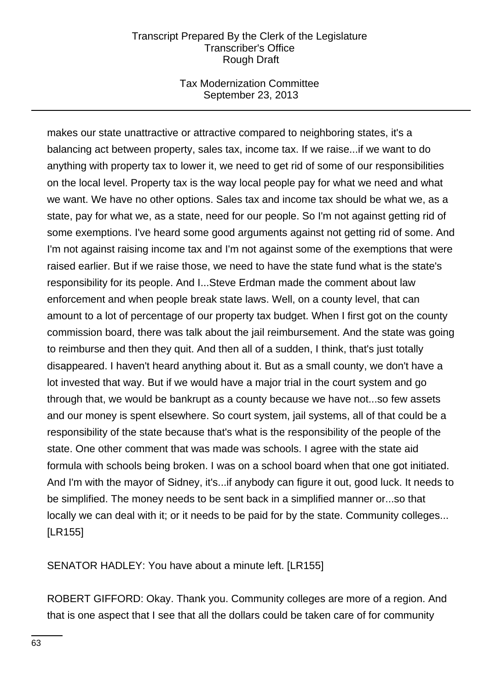### Tax Modernization Committee September 23, 2013

makes our state unattractive or attractive compared to neighboring states, it's a balancing act between property, sales tax, income tax. If we raise...if we want to do anything with property tax to lower it, we need to get rid of some of our responsibilities on the local level. Property tax is the way local people pay for what we need and what we want. We have no other options. Sales tax and income tax should be what we, as a state, pay for what we, as a state, need for our people. So I'm not against getting rid of some exemptions. I've heard some good arguments against not getting rid of some. And I'm not against raising income tax and I'm not against some of the exemptions that were raised earlier. But if we raise those, we need to have the state fund what is the state's responsibility for its people. And I...Steve Erdman made the comment about law enforcement and when people break state laws. Well, on a county level, that can amount to a lot of percentage of our property tax budget. When I first got on the county commission board, there was talk about the jail reimbursement. And the state was going to reimburse and then they quit. And then all of a sudden, I think, that's just totally disappeared. I haven't heard anything about it. But as a small county, we don't have a lot invested that way. But if we would have a major trial in the court system and go through that, we would be bankrupt as a county because we have not...so few assets and our money is spent elsewhere. So court system, jail systems, all of that could be a responsibility of the state because that's what is the responsibility of the people of the state. One other comment that was made was schools. I agree with the state aid formula with schools being broken. I was on a school board when that one got initiated. And I'm with the mayor of Sidney, it's...if anybody can figure it out, good luck. It needs to be simplified. The money needs to be sent back in a simplified manner or...so that locally we can deal with it; or it needs to be paid for by the state. Community colleges... [LR155]

SENATOR HADLEY: You have about a minute left. [LR155]

ROBERT GIFFORD: Okay. Thank you. Community colleges are more of a region. And that is one aspect that I see that all the dollars could be taken care of for community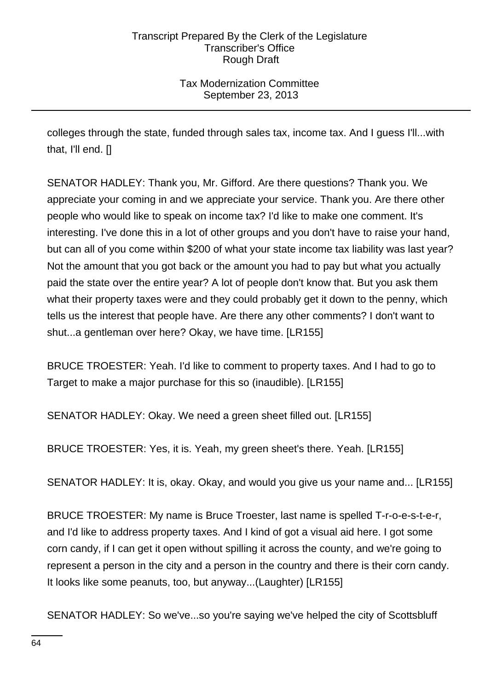Tax Modernization Committee September 23, 2013

colleges through the state, funded through sales tax, income tax. And I guess I'll...with that, I'll end. []

SENATOR HADLEY: Thank you, Mr. Gifford. Are there questions? Thank you. We appreciate your coming in and we appreciate your service. Thank you. Are there other people who would like to speak on income tax? I'd like to make one comment. It's interesting. I've done this in a lot of other groups and you don't have to raise your hand, but can all of you come within \$200 of what your state income tax liability was last year? Not the amount that you got back or the amount you had to pay but what you actually paid the state over the entire year? A lot of people don't know that. But you ask them what their property taxes were and they could probably get it down to the penny, which tells us the interest that people have. Are there any other comments? I don't want to shut...a gentleman over here? Okay, we have time. [LR155]

BRUCE TROESTER: Yeah. I'd like to comment to property taxes. And I had to go to Target to make a major purchase for this so (inaudible). [LR155]

SENATOR HADLEY: Okay. We need a green sheet filled out. [LR155]

BRUCE TROESTER: Yes, it is. Yeah, my green sheet's there. Yeah. [LR155]

SENATOR HADLEY: It is, okay. Okay, and would you give us your name and... [LR155]

BRUCE TROESTER: My name is Bruce Troester, last name is spelled T-r-o-e-s-t-e-r, and I'd like to address property taxes. And I kind of got a visual aid here. I got some corn candy, if I can get it open without spilling it across the county, and we're going to represent a person in the city and a person in the country and there is their corn candy. It looks like some peanuts, too, but anyway...(Laughter) [LR155]

SENATOR HADLEY: So we've...so you're saying we've helped the city of Scottsbluff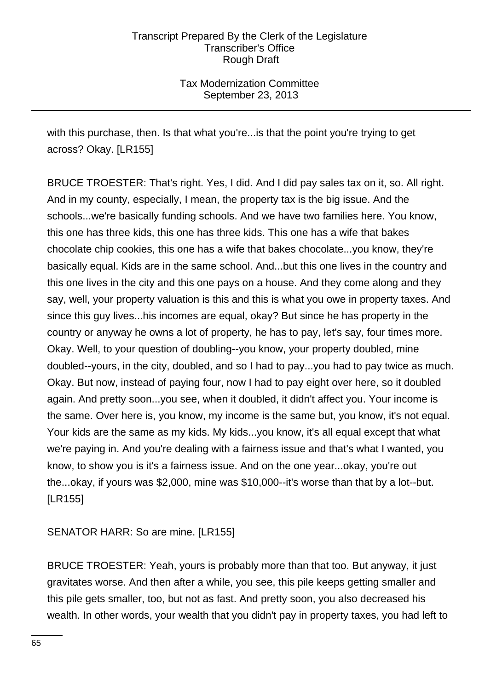Tax Modernization Committee September 23, 2013

with this purchase, then. Is that what you're...is that the point you're trying to get across? Okay. [LR155]

BRUCE TROESTER: That's right. Yes, I did. And I did pay sales tax on it, so. All right. And in my county, especially, I mean, the property tax is the big issue. And the schools...we're basically funding schools. And we have two families here. You know, this one has three kids, this one has three kids. This one has a wife that bakes chocolate chip cookies, this one has a wife that bakes chocolate...you know, they're basically equal. Kids are in the same school. And...but this one lives in the country and this one lives in the city and this one pays on a house. And they come along and they say, well, your property valuation is this and this is what you owe in property taxes. And since this guy lives...his incomes are equal, okay? But since he has property in the country or anyway he owns a lot of property, he has to pay, let's say, four times more. Okay. Well, to your question of doubling--you know, your property doubled, mine doubled--yours, in the city, doubled, and so I had to pay...you had to pay twice as much. Okay. But now, instead of paying four, now I had to pay eight over here, so it doubled again. And pretty soon...you see, when it doubled, it didn't affect you. Your income is the same. Over here is, you know, my income is the same but, you know, it's not equal. Your kids are the same as my kids. My kids...you know, it's all equal except that what we're paying in. And you're dealing with a fairness issue and that's what I wanted, you know, to show you is it's a fairness issue. And on the one year...okay, you're out the...okay, if yours was \$2,000, mine was \$10,000--it's worse than that by a lot--but. [LR155]

SENATOR HARR: So are mine. [LR155]

BRUCE TROESTER: Yeah, yours is probably more than that too. But anyway, it just gravitates worse. And then after a while, you see, this pile keeps getting smaller and this pile gets smaller, too, but not as fast. And pretty soon, you also decreased his wealth. In other words, your wealth that you didn't pay in property taxes, you had left to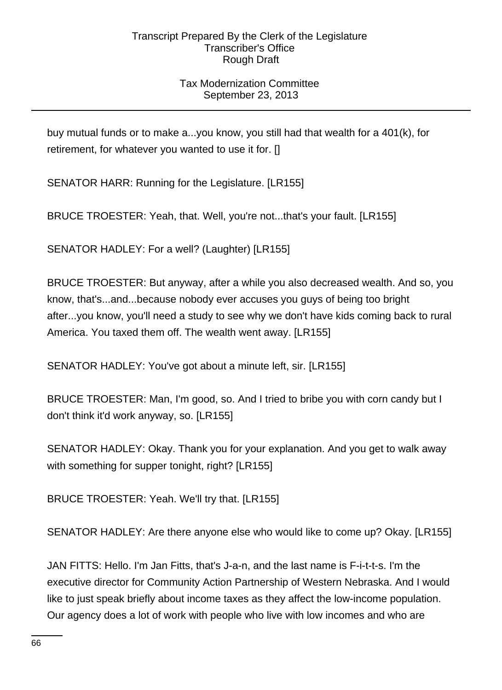# Tax Modernization Committee September 23, 2013

buy mutual funds or to make a...you know, you still had that wealth for a 401(k), for retirement, for whatever you wanted to use it for. []

SENATOR HARR: Running for the Legislature. [LR155]

BRUCE TROESTER: Yeah, that. Well, you're not...that's your fault. [LR155]

SENATOR HADLEY: For a well? (Laughter) [LR155]

BRUCE TROESTER: But anyway, after a while you also decreased wealth. And so, you know, that's...and...because nobody ever accuses you guys of being too bright after...you know, you'll need a study to see why we don't have kids coming back to rural America. You taxed them off. The wealth went away. [LR155]

SENATOR HADLEY: You've got about a minute left, sir. [LR155]

BRUCE TROESTER: Man, I'm good, so. And I tried to bribe you with corn candy but I don't think it'd work anyway, so. [LR155]

SENATOR HADLEY: Okay. Thank you for your explanation. And you get to walk away with something for supper tonight, right? [LR155]

BRUCE TROESTER: Yeah. We'll try that. [LR155]

SENATOR HADLEY: Are there anyone else who would like to come up? Okay. [LR155]

JAN FITTS: Hello. I'm Jan Fitts, that's J-a-n, and the last name is F-i-t-t-s. I'm the executive director for Community Action Partnership of Western Nebraska. And I would like to just speak briefly about income taxes as they affect the low-income population. Our agency does a lot of work with people who live with low incomes and who are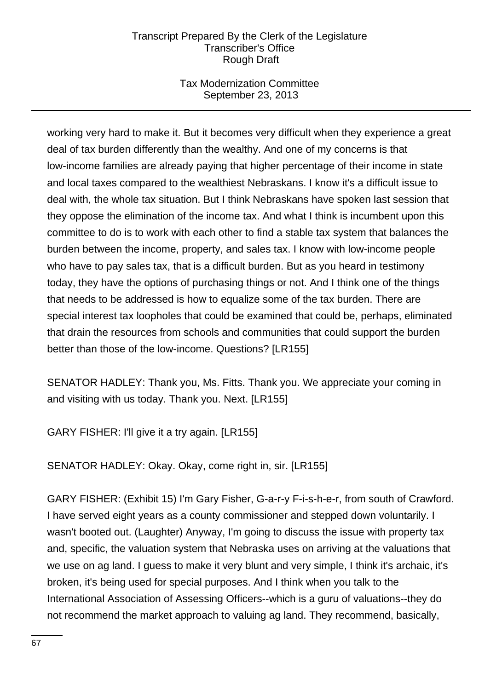# Tax Modernization Committee September 23, 2013

working very hard to make it. But it becomes very difficult when they experience a great deal of tax burden differently than the wealthy. And one of my concerns is that low-income families are already paying that higher percentage of their income in state and local taxes compared to the wealthiest Nebraskans. I know it's a difficult issue to deal with, the whole tax situation. But I think Nebraskans have spoken last session that they oppose the elimination of the income tax. And what I think is incumbent upon this committee to do is to work with each other to find a stable tax system that balances the burden between the income, property, and sales tax. I know with low-income people who have to pay sales tax, that is a difficult burden. But as you heard in testimony today, they have the options of purchasing things or not. And I think one of the things that needs to be addressed is how to equalize some of the tax burden. There are special interest tax loopholes that could be examined that could be, perhaps, eliminated that drain the resources from schools and communities that could support the burden better than those of the low-income. Questions? [LR155]

SENATOR HADLEY: Thank you, Ms. Fitts. Thank you. We appreciate your coming in and visiting with us today. Thank you. Next. [LR155]

GARY FISHER: I'll give it a try again. [LR155]

SENATOR HADLEY: Okay. Okay, come right in, sir. [LR155]

GARY FISHER: (Exhibit 15) I'm Gary Fisher, G-a-r-y F-i-s-h-e-r, from south of Crawford. I have served eight years as a county commissioner and stepped down voluntarily. I wasn't booted out. (Laughter) Anyway, I'm going to discuss the issue with property tax and, specific, the valuation system that Nebraska uses on arriving at the valuations that we use on ag land. I guess to make it very blunt and very simple, I think it's archaic, it's broken, it's being used for special purposes. And I think when you talk to the International Association of Assessing Officers--which is a guru of valuations--they do not recommend the market approach to valuing ag land. They recommend, basically,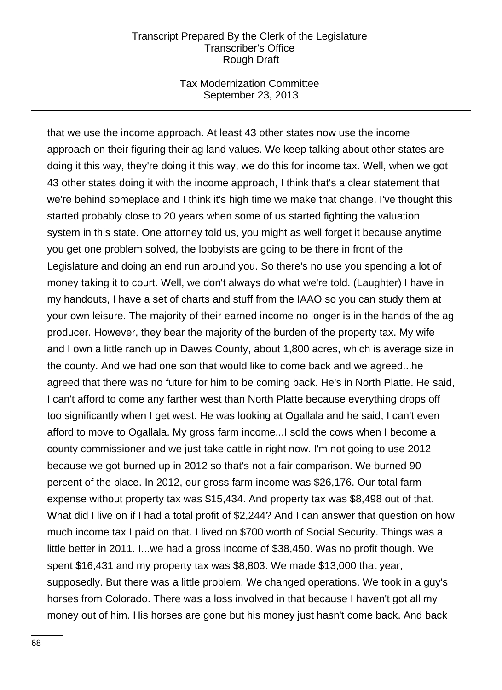### Tax Modernization Committee September 23, 2013

that we use the income approach. At least 43 other states now use the income approach on their figuring their ag land values. We keep talking about other states are doing it this way, they're doing it this way, we do this for income tax. Well, when we got 43 other states doing it with the income approach, I think that's a clear statement that we're behind someplace and I think it's high time we make that change. I've thought this started probably close to 20 years when some of us started fighting the valuation system in this state. One attorney told us, you might as well forget it because anytime you get one problem solved, the lobbyists are going to be there in front of the Legislature and doing an end run around you. So there's no use you spending a lot of money taking it to court. Well, we don't always do what we're told. (Laughter) I have in my handouts, I have a set of charts and stuff from the IAAO so you can study them at your own leisure. The majority of their earned income no longer is in the hands of the ag producer. However, they bear the majority of the burden of the property tax. My wife and I own a little ranch up in Dawes County, about 1,800 acres, which is average size in the county. And we had one son that would like to come back and we agreed...he agreed that there was no future for him to be coming back. He's in North Platte. He said, I can't afford to come any farther west than North Platte because everything drops off too significantly when I get west. He was looking at Ogallala and he said, I can't even afford to move to Ogallala. My gross farm income...I sold the cows when I become a county commissioner and we just take cattle in right now. I'm not going to use 2012 because we got burned up in 2012 so that's not a fair comparison. We burned 90 percent of the place. In 2012, our gross farm income was \$26,176. Our total farm expense without property tax was \$15,434. And property tax was \$8,498 out of that. What did I live on if I had a total profit of \$2,244? And I can answer that question on how much income tax I paid on that. I lived on \$700 worth of Social Security. Things was a little better in 2011. I...we had a gross income of \$38,450. Was no profit though. We spent \$16,431 and my property tax was \$8,803. We made \$13,000 that year, supposedly. But there was a little problem. We changed operations. We took in a guy's horses from Colorado. There was a loss involved in that because I haven't got all my money out of him. His horses are gone but his money just hasn't come back. And back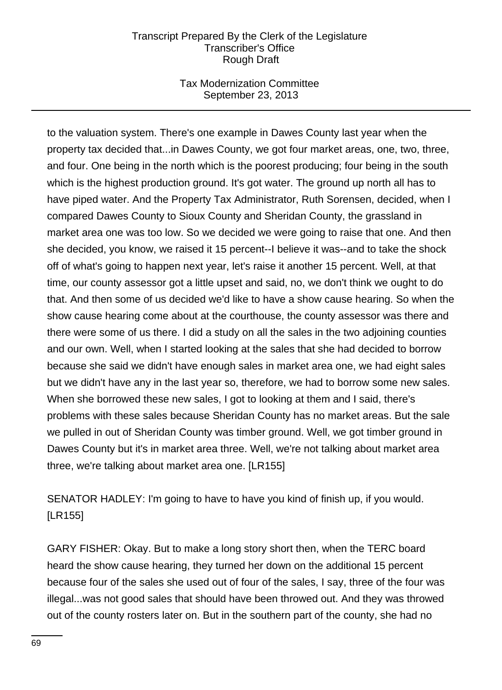# Tax Modernization Committee September 23, 2013

to the valuation system. There's one example in Dawes County last year when the property tax decided that...in Dawes County, we got four market areas, one, two, three, and four. One being in the north which is the poorest producing; four being in the south which is the highest production ground. It's got water. The ground up north all has to have piped water. And the Property Tax Administrator, Ruth Sorensen, decided, when I compared Dawes County to Sioux County and Sheridan County, the grassland in market area one was too low. So we decided we were going to raise that one. And then she decided, you know, we raised it 15 percent--I believe it was--and to take the shock off of what's going to happen next year, let's raise it another 15 percent. Well, at that time, our county assessor got a little upset and said, no, we don't think we ought to do that. And then some of us decided we'd like to have a show cause hearing. So when the show cause hearing come about at the courthouse, the county assessor was there and there were some of us there. I did a study on all the sales in the two adjoining counties and our own. Well, when I started looking at the sales that she had decided to borrow because she said we didn't have enough sales in market area one, we had eight sales but we didn't have any in the last year so, therefore, we had to borrow some new sales. When she borrowed these new sales, I got to looking at them and I said, there's problems with these sales because Sheridan County has no market areas. But the sale we pulled in out of Sheridan County was timber ground. Well, we got timber ground in Dawes County but it's in market area three. Well, we're not talking about market area three, we're talking about market area one. [LR155]

SENATOR HADLEY: I'm going to have to have you kind of finish up, if you would. [LR155]

GARY FISHER: Okay. But to make a long story short then, when the TERC board heard the show cause hearing, they turned her down on the additional 15 percent because four of the sales she used out of four of the sales, I say, three of the four was illegal...was not good sales that should have been throwed out. And they was throwed out of the county rosters later on. But in the southern part of the county, she had no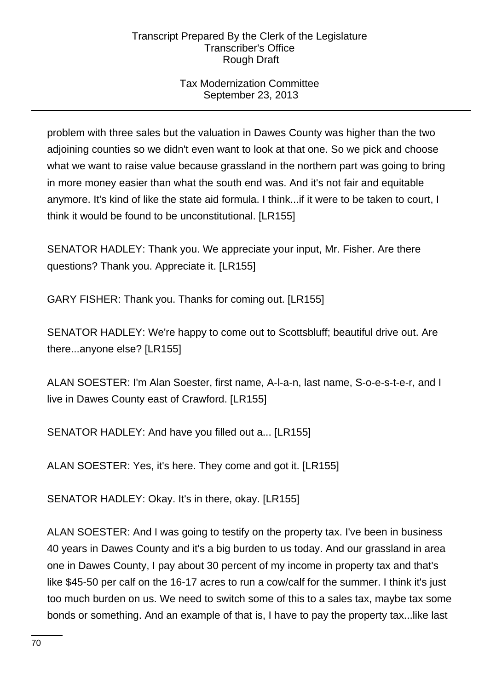# Tax Modernization Committee September 23, 2013

problem with three sales but the valuation in Dawes County was higher than the two adjoining counties so we didn't even want to look at that one. So we pick and choose what we want to raise value because grassland in the northern part was going to bring in more money easier than what the south end was. And it's not fair and equitable anymore. It's kind of like the state aid formula. I think...if it were to be taken to court, I think it would be found to be unconstitutional. [LR155]

SENATOR HADLEY: Thank you. We appreciate your input, Mr. Fisher. Are there questions? Thank you. Appreciate it. [LR155]

GARY FISHER: Thank you. Thanks for coming out. [LR155]

SENATOR HADLEY: We're happy to come out to Scottsbluff; beautiful drive out. Are there...anyone else? [LR155]

ALAN SOESTER: I'm Alan Soester, first name, A-l-a-n, last name, S-o-e-s-t-e-r, and I live in Dawes County east of Crawford. [LR155]

SENATOR HADLEY: And have you filled out a... [LR155]

ALAN SOESTER: Yes, it's here. They come and got it. [LR155]

SENATOR HADLEY: Okay. It's in there, okay. [LR155]

ALAN SOESTER: And I was going to testify on the property tax. I've been in business 40 years in Dawes County and it's a big burden to us today. And our grassland in area one in Dawes County, I pay about 30 percent of my income in property tax and that's like \$45-50 per calf on the 16-17 acres to run a cow/calf for the summer. I think it's just too much burden on us. We need to switch some of this to a sales tax, maybe tax some bonds or something. And an example of that is, I have to pay the property tax...like last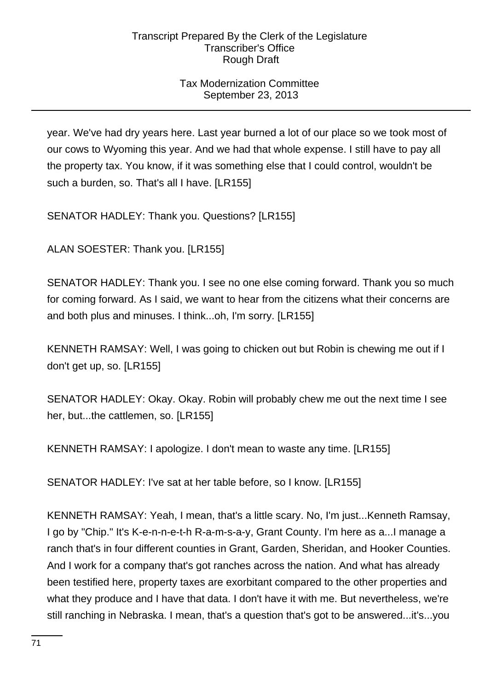# Tax Modernization Committee September 23, 2013

year. We've had dry years here. Last year burned a lot of our place so we took most of our cows to Wyoming this year. And we had that whole expense. I still have to pay all the property tax. You know, if it was something else that I could control, wouldn't be such a burden, so. That's all I have. [LR155]

SENATOR HADLEY: Thank you. Questions? [LR155]

ALAN SOESTER: Thank you. [LR155]

SENATOR HADLEY: Thank you. I see no one else coming forward. Thank you so much for coming forward. As I said, we want to hear from the citizens what their concerns are and both plus and minuses. I think...oh, I'm sorry. [LR155]

KENNETH RAMSAY: Well, I was going to chicken out but Robin is chewing me out if I don't get up, so. [LR155]

SENATOR HADLEY: Okay. Okay. Robin will probably chew me out the next time I see her, but...the cattlemen, so. [LR155]

KENNETH RAMSAY: I apologize. I don't mean to waste any time. [LR155]

SENATOR HADLEY: I've sat at her table before, so I know. [LR155]

KENNETH RAMSAY: Yeah, I mean, that's a little scary. No, I'm just...Kenneth Ramsay, I go by "Chip." It's K-e-n-n-e-t-h R-a-m-s-a-y, Grant County. I'm here as a...I manage a ranch that's in four different counties in Grant, Garden, Sheridan, and Hooker Counties. And I work for a company that's got ranches across the nation. And what has already been testified here, property taxes are exorbitant compared to the other properties and what they produce and I have that data. I don't have it with me. But nevertheless, we're still ranching in Nebraska. I mean, that's a question that's got to be answered...it's...you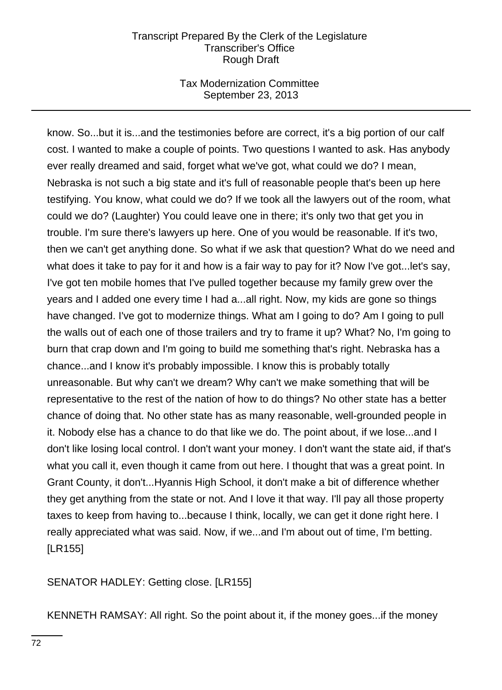# Tax Modernization Committee September 23, 2013

know. So...but it is...and the testimonies before are correct, it's a big portion of our calf cost. I wanted to make a couple of points. Two questions I wanted to ask. Has anybody ever really dreamed and said, forget what we've got, what could we do? I mean, Nebraska is not such a big state and it's full of reasonable people that's been up here testifying. You know, what could we do? If we took all the lawyers out of the room, what could we do? (Laughter) You could leave one in there; it's only two that get you in trouble. I'm sure there's lawyers up here. One of you would be reasonable. If it's two, then we can't get anything done. So what if we ask that question? What do we need and what does it take to pay for it and how is a fair way to pay for it? Now I've got...let's say, I've got ten mobile homes that I've pulled together because my family grew over the years and I added one every time I had a...all right. Now, my kids are gone so things have changed. I've got to modernize things. What am I going to do? Am I going to pull the walls out of each one of those trailers and try to frame it up? What? No, I'm going to burn that crap down and I'm going to build me something that's right. Nebraska has a chance...and I know it's probably impossible. I know this is probably totally unreasonable. But why can't we dream? Why can't we make something that will be representative to the rest of the nation of how to do things? No other state has a better chance of doing that. No other state has as many reasonable, well-grounded people in it. Nobody else has a chance to do that like we do. The point about, if we lose...and I don't like losing local control. I don't want your money. I don't want the state aid, if that's what you call it, even though it came from out here. I thought that was a great point. In Grant County, it don't...Hyannis High School, it don't make a bit of difference whether they get anything from the state or not. And I love it that way. I'll pay all those property taxes to keep from having to...because I think, locally, we can get it done right here. I really appreciated what was said. Now, if we...and I'm about out of time, I'm betting. [LR155]

SENATOR HADLEY: Getting close. [LR155]

KENNETH RAMSAY: All right. So the point about it, if the money goes...if the money